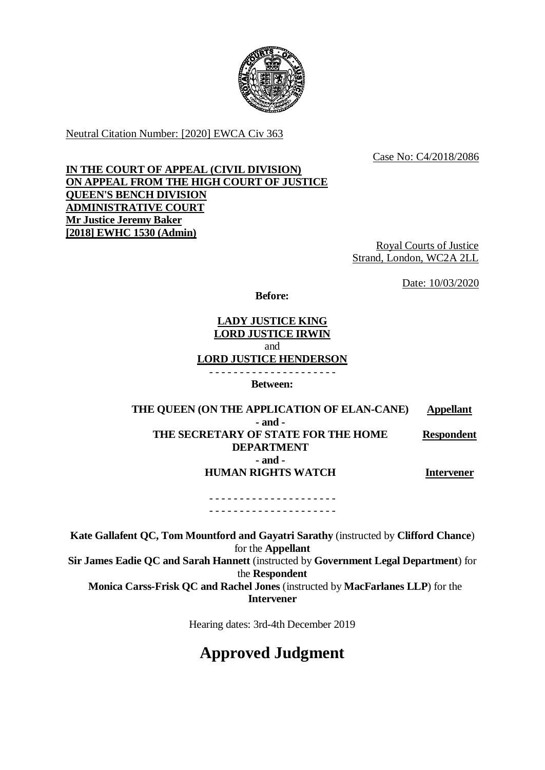

Neutral Citation Number: [2020] EWCA Civ 363

Case No: C4/2018/2086

# **IN THE COURT OF APPEAL (CIVIL DIVISION) ON APPEAL FROM THE HIGH COURT OF JUSTICE QUEEN'S BENCH DIVISION ADMINISTRATIVE COURT Mr Justice Jeremy Baker [2018] EWHC 1530 (Admin)**

Royal Courts of Justice Strand, London, WC2A 2LL

Date: 10/03/2020

**Before:**

# **LADY JUSTICE KING LORD JUSTICE IRWIN** and **LORD JUSTICE HENDERSON**

**Between:**

**THE QUEEN (ON THE APPLICATION OF ELAN-CANE) Appellant - and - THE SECRETARY OF STATE FOR THE HOME DEPARTMENT - and - HUMAN RIGHTS WATCH Respondent Intervener**

- - - - - - - - - - - - - - - - - - - - - - - - - - - - - - - - - - - - - - - - - -

**Kate Gallafent QC, Tom Mountford and Gayatri Sarathy** (instructed by **Clifford Chance**) for the **Appellant Sir James Eadie QC and Sarah Hannett** (instructed by **Government Legal Department**) for the **Respondent Monica Carss-Frisk QC and Rachel Jones** (instructed by **MacFarlanes LLP**) for the **Intervener**

Hearing dates: 3rd-4th December 2019

# **Approved Judgment**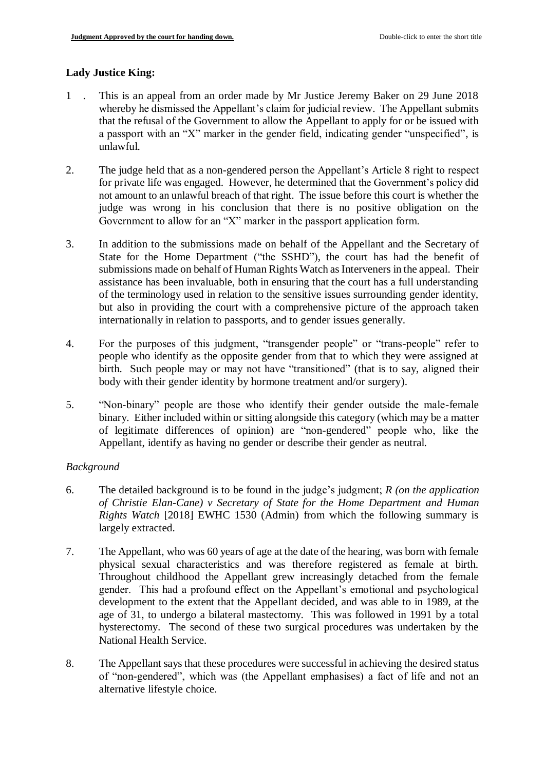# **Lady Justice King:**

- 1 . This is an appeal from an order made by Mr Justice Jeremy Baker on 29 June 2018 whereby he dismissed the Appellant's claim for judicial review. The Appellant submits that the refusal of the Government to allow the Appellant to apply for or be issued with a passport with an "X" marker in the gender field, indicating gender "unspecified", is unlawful.
- 2. The judge held that as a non-gendered person the Appellant's Article 8 right to respect for private life was engaged. However, he determined that the Government's policy did not amount to an unlawful breach of that right. The issue before this court is whether the judge was wrong in his conclusion that there is no positive obligation on the Government to allow for an "X" marker in the passport application form.
- 3. In addition to the submissions made on behalf of the Appellant and the Secretary of State for the Home Department ("the SSHD"), the court has had the benefit of submissions made on behalf of Human Rights Watch as Interveners in the appeal. Their assistance has been invaluable, both in ensuring that the court has a full understanding of the terminology used in relation to the sensitive issues surrounding gender identity, but also in providing the court with a comprehensive picture of the approach taken internationally in relation to passports, and to gender issues generally.
- 4. For the purposes of this judgment, "transgender people" or "trans-people" refer to people who identify as the opposite gender from that to which they were assigned at birth. Such people may or may not have "transitioned" (that is to say, aligned their body with their gender identity by hormone treatment and/or surgery).
- 5. "Non-binary" people are those who identify their gender outside the male-female binary. Either included within or sitting alongside this category (which may be a matter of legitimate differences of opinion) are "non-gendered" people who, like the Appellant, identify as having no gender or describe their gender as neutral.

# *Background*

- 6. The detailed background is to be found in the judge's judgment; *R (on the application of Christie Elan-Cane) v Secretary of State for the Home Department and Human Rights Watch* [2018] EWHC 1530 (Admin) from which the following summary is largely extracted.
- 7. The Appellant, who was 60 years of age at the date of the hearing, was born with female physical sexual characteristics and was therefore registered as female at birth. Throughout childhood the Appellant grew increasingly detached from the female gender. This had a profound effect on the Appellant's emotional and psychological development to the extent that the Appellant decided, and was able to in 1989, at the age of 31, to undergo a bilateral mastectomy. This was followed in 1991 by a total hysterectomy. The second of these two surgical procedures was undertaken by the National Health Service.
- 8. The Appellant says that these procedures were successful in achieving the desired status of "non-gendered", which was (the Appellant emphasises) a fact of life and not an alternative lifestyle choice.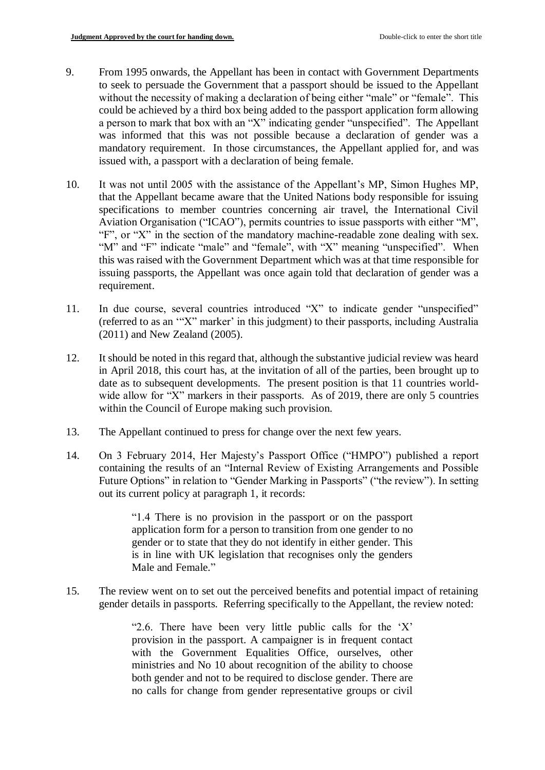- 9. From 1995 onwards, the Appellant has been in contact with Government Departments to seek to persuade the Government that a passport should be issued to the Appellant without the necessity of making a declaration of being either "male" or "female". This could be achieved by a third box being added to the passport application form allowing a person to mark that box with an "X" indicating gender "unspecified". The Appellant was informed that this was not possible because a declaration of gender was a mandatory requirement. In those circumstances, the Appellant applied for, and was issued with, a passport with a declaration of being female.
- 10. It was not until 2005 with the assistance of the Appellant's MP, Simon Hughes MP, that the Appellant became aware that the United Nations body responsible for issuing specifications to member countries concerning air travel, the International Civil Aviation Organisation ("ICAO"), permits countries to issue passports with either "M", "F", or "X" in the section of the mandatory machine-readable zone dealing with sex. "M" and "F" indicate "male" and "female", with "X" meaning "unspecified". When this was raised with the Government Department which was at that time responsible for issuing passports, the Appellant was once again told that declaration of gender was a requirement.
- 11. In due course, several countries introduced "X" to indicate gender "unspecified" (referred to as an '"X" marker' in this judgment) to their passports, including Australia (2011) and New Zealand (2005).
- 12. It should be noted in this regard that, although the substantive judicial review was heard in April 2018, this court has, at the invitation of all of the parties, been brought up to date as to subsequent developments. The present position is that 11 countries worldwide allow for "X" markers in their passports. As of 2019, there are only 5 countries within the Council of Europe making such provision.
- 13. The Appellant continued to press for change over the next few years.
- 14. On 3 February 2014, Her Majesty's Passport Office ("HMPO") published a report containing the results of an "Internal Review of Existing Arrangements and Possible Future Options" in relation to "Gender Marking in Passports" ("the review"). In setting out its current policy at paragraph 1, it records:

"1.4 There is no provision in the passport or on the passport application form for a person to transition from one gender to no gender or to state that they do not identify in either gender. This is in line with UK legislation that recognises only the genders Male and Female."

15. The review went on to set out the perceived benefits and potential impact of retaining gender details in passports. Referring specifically to the Appellant, the review noted:

> "2.6. There have been very little public calls for the 'X' provision in the passport. A campaigner is in frequent contact with the Government Equalities Office, ourselves, other ministries and No 10 about recognition of the ability to choose both gender and not to be required to disclose gender. There are no calls for change from gender representative groups or civil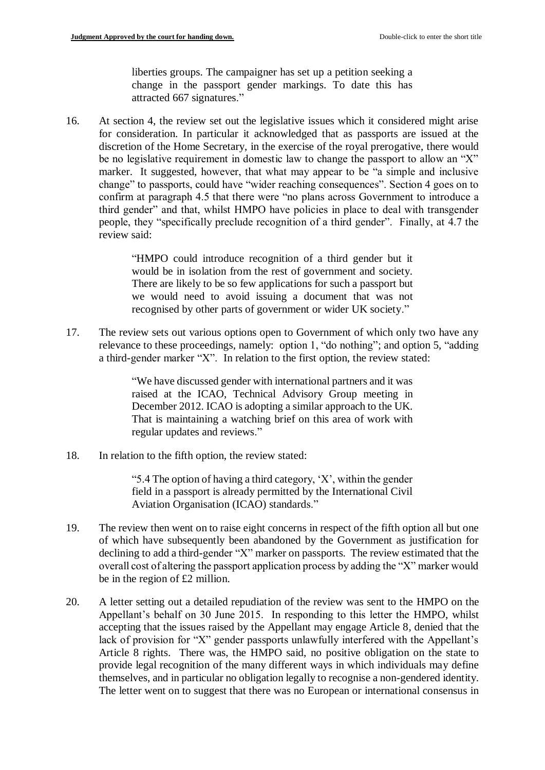liberties groups. The campaigner has set up a petition seeking a change in the passport gender markings. To date this has attracted 667 signatures."

16. At section 4, the review set out the legislative issues which it considered might arise for consideration. In particular it acknowledged that as passports are issued at the discretion of the Home Secretary, in the exercise of the royal prerogative, there would be no legislative requirement in domestic law to change the passport to allow an "X" marker. It suggested, however, that what may appear to be "a simple and inclusive change" to passports, could have "wider reaching consequences". Section 4 goes on to confirm at paragraph 4.5 that there were "no plans across Government to introduce a third gender" and that, whilst HMPO have policies in place to deal with transgender people, they "specifically preclude recognition of a third gender". Finally, at 4.7 the review said:

> "HMPO could introduce recognition of a third gender but it would be in isolation from the rest of government and society. There are likely to be so few applications for such a passport but we would need to avoid issuing a document that was not recognised by other parts of government or wider UK society."

17. The review sets out various options open to Government of which only two have any relevance to these proceedings, namely: option 1, "do nothing"; and option 5, "adding a third-gender marker "X". In relation to the first option, the review stated:

> "We have discussed gender with international partners and it was raised at the ICAO, Technical Advisory Group meeting in December 2012. ICAO is adopting a similar approach to the UK. That is maintaining a watching brief on this area of work with regular updates and reviews."

18. In relation to the fifth option, the review stated:

"5.4 The option of having a third category, 'X', within the gender field in a passport is already permitted by the International Civil Aviation Organisation (ICAO) standards."

- 19. The review then went on to raise eight concerns in respect of the fifth option all but one of which have subsequently been abandoned by the Government as justification for declining to add a third-gender "X" marker on passports. The review estimated that the overall cost of altering the passport application process by adding the "X" marker would be in the region of £2 million.
- 20. A letter setting out a detailed repudiation of the review was sent to the HMPO on the Appellant's behalf on 30 June 2015. In responding to this letter the HMPO, whilst accepting that the issues raised by the Appellant may engage Article 8, denied that the lack of provision for "X" gender passports unlawfully interfered with the Appellant's Article 8 rights. There was, the HMPO said, no positive obligation on the state to provide legal recognition of the many different ways in which individuals may define themselves, and in particular no obligation legally to recognise a non-gendered identity. The letter went on to suggest that there was no European or international consensus in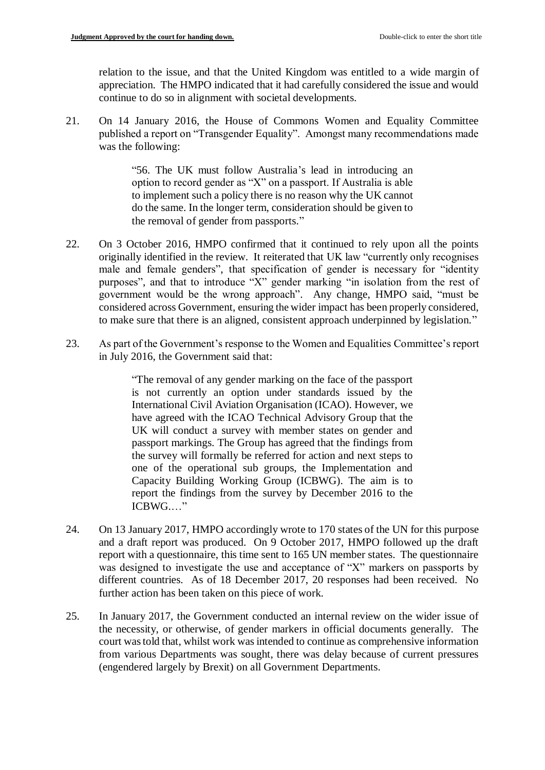relation to the issue, and that the United Kingdom was entitled to a wide margin of appreciation. The HMPO indicated that it had carefully considered the issue and would continue to do so in alignment with societal developments.

21. On 14 January 2016, the House of Commons Women and Equality Committee published a report on "Transgender Equality". Amongst many recommendations made was the following:

> "56. The UK must follow Australia's lead in introducing an option to record gender as "X" on a passport. If Australia is able to implement such a policy there is no reason why the UK cannot do the same. In the longer term, consideration should be given to the removal of gender from passports*.*"

- 22. On 3 October 2016, HMPO confirmed that it continued to rely upon all the points originally identified in the review. It reiterated that UK law "currently only recognises male and female genders", that specification of gender is necessary for "identity purposes", and that to introduce "X" gender marking "in isolation from the rest of government would be the wrong approach". Any change, HMPO said, "must be considered across Government, ensuring the wider impact has been properly considered, to make sure that there is an aligned, consistent approach underpinned by legislation."
- 23. As part of the Government's response to the Women and Equalities Committee's report in July 2016, the Government said that:

"The removal of any gender marking on the face of the passport is not currently an option under standards issued by the International Civil Aviation Organisation (ICAO). However, we have agreed with the ICAO Technical Advisory Group that the UK will conduct a survey with member states on gender and passport markings. The Group has agreed that the findings from the survey will formally be referred for action and next steps to one of the operational sub groups, the Implementation and Capacity Building Working Group (ICBWG). The aim is to report the findings from the survey by December 2016 to the ICBWG.…"

- 24. On 13 January 2017, HMPO accordingly wrote to 170 states of the UN for this purpose and a draft report was produced. On 9 October 2017, HMPO followed up the draft report with a questionnaire, this time sent to 165 UN member states. The questionnaire was designed to investigate the use and acceptance of "X" markers on passports by different countries. As of 18 December 2017, 20 responses had been received. No further action has been taken on this piece of work.
- 25. In January 2017, the Government conducted an internal review on the wider issue of the necessity, or otherwise, of gender markers in official documents generally. The court was told that, whilst work was intended to continue as comprehensive information from various Departments was sought, there was delay because of current pressures (engendered largely by Brexit) on all Government Departments.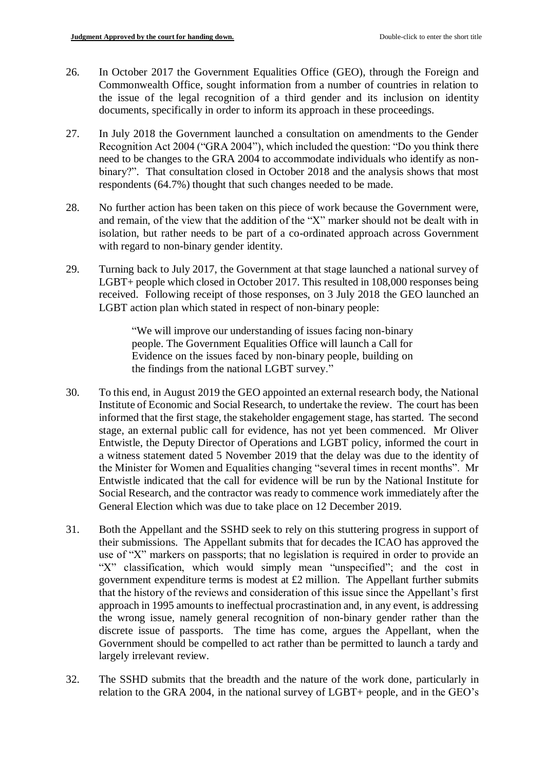- 26. In October 2017 the Government Equalities Office (GEO), through the Foreign and Commonwealth Office, sought information from a number of countries in relation to the issue of the legal recognition of a third gender and its inclusion on identity documents, specifically in order to inform its approach in these proceedings.
- 27. In July 2018 the Government launched a consultation on amendments to the Gender Recognition Act 2004 ("GRA 2004"), which included the question: "Do you think there need to be changes to the GRA 2004 to accommodate individuals who identify as nonbinary?". That consultation closed in October 2018 and the analysis shows that most respondents (64.7%) thought that such changes needed to be made.
- 28. No further action has been taken on this piece of work because the Government were, and remain, of the view that the addition of the "X" marker should not be dealt with in isolation, but rather needs to be part of a co-ordinated approach across Government with regard to non-binary gender identity.
- 29. Turning back to July 2017, the Government at that stage launched a national survey of LGBT+ people which closed in October 2017. This resulted in 108,000 responses being received. Following receipt of those responses, on 3 July 2018 the GEO launched an LGBT action plan which stated in respect of non-binary people:

"We will improve our understanding of issues facing non-binary people. The Government Equalities Office will launch a Call for Evidence on the issues faced by non-binary people, building on the findings from the national LGBT survey."

- 30. To this end, in August 2019 the GEO appointed an external research body, the National Institute of Economic and Social Research, to undertake the review. The court has been informed that the first stage, the stakeholder engagement stage, has started. The second stage, an external public call for evidence, has not yet been commenced. Mr Oliver Entwistle, the Deputy Director of Operations and LGBT policy, informed the court in a witness statement dated 5 November 2019 that the delay was due to the identity of the Minister for Women and Equalities changing "several times in recent months". Mr Entwistle indicated that the call for evidence will be run by the National Institute for Social Research, and the contractor was ready to commence work immediately after the General Election which was due to take place on 12 December 2019.
- 31. Both the Appellant and the SSHD seek to rely on this stuttering progress in support of their submissions. The Appellant submits that for decades the ICAO has approved the use of "X" markers on passports; that no legislation is required in order to provide an "X" classification, which would simply mean "unspecified"; and the cost in government expenditure terms is modest at £2 million. The Appellant further submits that the history of the reviews and consideration of this issue since the Appellant's first approach in 1995 amounts to ineffectual procrastination and, in any event, is addressing the wrong issue, namely general recognition of non-binary gender rather than the discrete issue of passports. The time has come, argues the Appellant, when the Government should be compelled to act rather than be permitted to launch a tardy and largely irrelevant review.
- 32. The SSHD submits that the breadth and the nature of the work done, particularly in relation to the GRA 2004, in the national survey of LGBT+ people, and in the GEO's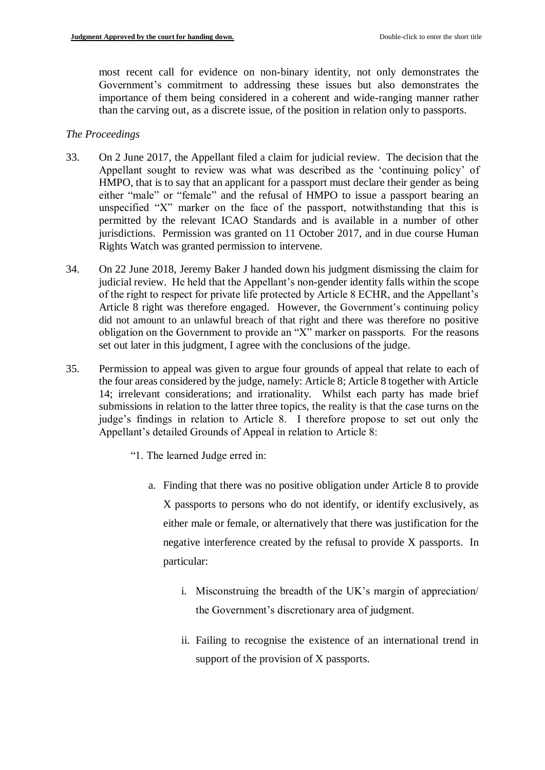most recent call for evidence on non-binary identity, not only demonstrates the Government's commitment to addressing these issues but also demonstrates the importance of them being considered in a coherent and wide-ranging manner rather than the carving out, as a discrete issue, of the position in relation only to passports.

## *The Proceedings*

- 33. On 2 June 2017, the Appellant filed a claim for judicial review. The decision that the Appellant sought to review was what was described as the 'continuing policy' of HMPO, that is to say that an applicant for a passport must declare their gender as being either "male" or "female" and the refusal of HMPO to issue a passport bearing an unspecified "X" marker on the face of the passport, notwithstanding that this is permitted by the relevant ICAO Standards and is available in a number of other jurisdictions. Permission was granted on 11 October 2017, and in due course Human Rights Watch was granted permission to intervene.
- 34. On 22 June 2018, Jeremy Baker J handed down his judgment dismissing the claim for judicial review. He held that the Appellant's non-gender identity falls within the scope of the right to respect for private life protected by Article 8 ECHR, and the Appellant's Article 8 right was therefore engaged. However, the Government's continuing policy did not amount to an unlawful breach of that right and there was therefore no positive obligation on the Government to provide an "X" marker on passports. For the reasons set out later in this judgment, I agree with the conclusions of the judge.
- 35. Permission to appeal was given to argue four grounds of appeal that relate to each of the four areas considered by the judge, namely: Article 8; Article 8 together with Article 14; irrelevant considerations; and irrationality. Whilst each party has made brief submissions in relation to the latter three topics, the reality is that the case turns on the judge's findings in relation to Article 8. I therefore propose to set out only the Appellant's detailed Grounds of Appeal in relation to Article 8:
	- "1. The learned Judge erred in:
		- a. Finding that there was no positive obligation under Article 8 to provide X passports to persons who do not identify, or identify exclusively, as either male or female, or alternatively that there was justification for the negative interference created by the refusal to provide X passports. In particular:
			- i. Misconstruing the breadth of the UK's margin of appreciation/ the Government's discretionary area of judgment.
			- ii. Failing to recognise the existence of an international trend in support of the provision of X passports.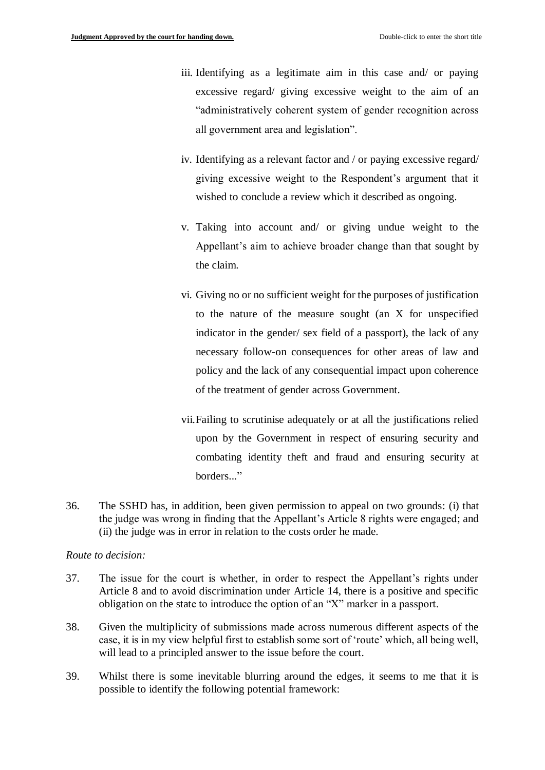- iii. Identifying as a legitimate aim in this case and/ or paying excessive regard/ giving excessive weight to the aim of an "administratively coherent system of gender recognition across all government area and legislation".
- iv. Identifying as a relevant factor and / or paying excessive regard/ giving excessive weight to the Respondent's argument that it wished to conclude a review which it described as ongoing.
- v. Taking into account and/ or giving undue weight to the Appellant's aim to achieve broader change than that sought by the claim.
- vi. Giving no or no sufficient weight for the purposes of justification to the nature of the measure sought (an X for unspecified indicator in the gender/ sex field of a passport), the lack of any necessary follow-on consequences for other areas of law and policy and the lack of any consequential impact upon coherence of the treatment of gender across Government.
- vii.Failing to scrutinise adequately or at all the justifications relied upon by the Government in respect of ensuring security and combating identity theft and fraud and ensuring security at borders..."
- 36. The SSHD has, in addition, been given permission to appeal on two grounds: (i) that the judge was wrong in finding that the Appellant's Article 8 rights were engaged; and (ii) the judge was in error in relation to the costs order he made.

#### *Route to decision:*

- 37. The issue for the court is whether, in order to respect the Appellant's rights under Article 8 and to avoid discrimination under Article 14, there is a positive and specific obligation on the state to introduce the option of an "X" marker in a passport.
- 38. Given the multiplicity of submissions made across numerous different aspects of the case, it is in my view helpful first to establish some sort of 'route' which, all being well, will lead to a principled answer to the issue before the court.
- 39. Whilst there is some inevitable blurring around the edges, it seems to me that it is possible to identify the following potential framework: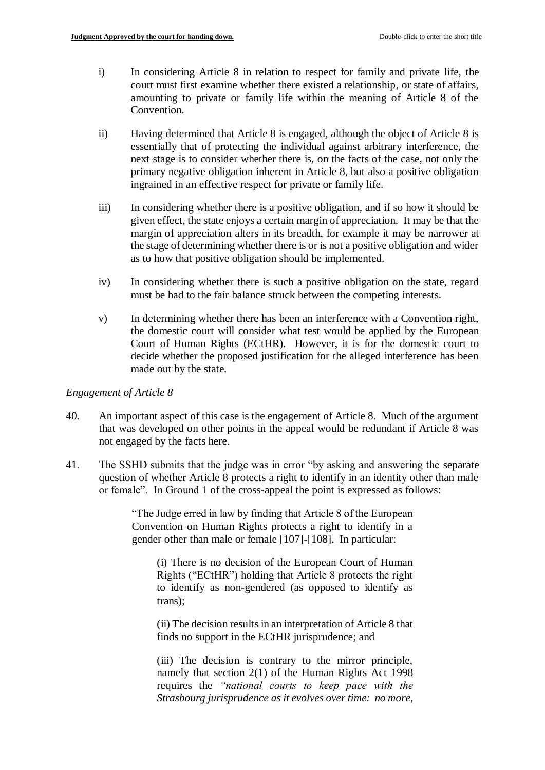- i) In considering Article 8 in relation to respect for family and private life, the court must first examine whether there existed a relationship, or state of affairs, amounting to private or family life within the meaning of Article 8 of the Convention.
- ii) Having determined that Article 8 is engaged, although the object of Article 8 is essentially that of protecting the individual against arbitrary interference, the next stage is to consider whether there is, on the facts of the case, not only the primary negative obligation inherent in Article 8, but also a positive obligation ingrained in an effective respect for private or family life.
- iii) In considering whether there is a positive obligation, and if so how it should be given effect, the state enjoys a certain margin of appreciation. It may be that the margin of appreciation alters in its breadth, for example it may be narrower at the stage of determining whether there is or is not a positive obligation and wider as to how that positive obligation should be implemented.
- iv) In considering whether there is such a positive obligation on the state, regard must be had to the fair balance struck between the competing interests.
- v) In determining whether there has been an interference with a Convention right, the domestic court will consider what test would be applied by the European Court of Human Rights (ECtHR). However, it is for the domestic court to decide whether the proposed justification for the alleged interference has been made out by the state.

## *Engagement of Article 8*

- 40. An important aspect of this case is the engagement of Article 8. Much of the argument that was developed on other points in the appeal would be redundant if Article 8 was not engaged by the facts here.
- 41. The SSHD submits that the judge was in error "by asking and answering the separate question of whether Article 8 protects a right to identify in an identity other than male or female". In Ground 1 of the cross-appeal the point is expressed as follows:

"The Judge erred in law by finding that Article 8 of the European Convention on Human Rights protects a right to identify in a gender other than male or female [107]-[108]. In particular:

(i) There is no decision of the European Court of Human Rights ("ECtHR") holding that Article 8 protects the right to identify as non-gendered (as opposed to identify as trans);

(ii) The decision results in an interpretation of Article 8 that finds no support in the ECtHR jurisprudence; and

(iii) The decision is contrary to the mirror principle, namely that section 2(1) of the Human Rights Act 1998 requires the *"national courts to keep pace with the Strasbourg jurisprudence as it evolves over time: no more,*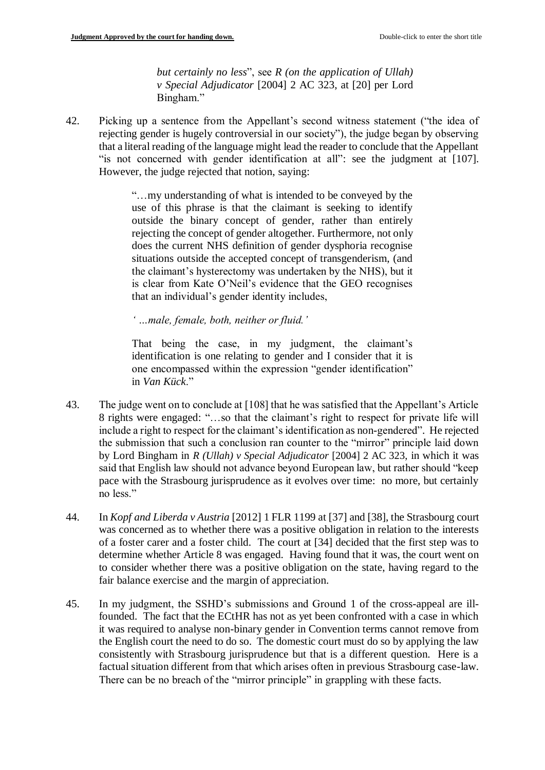*but certainly no less*", see *R (on the application of Ullah) v Special Adjudicator* [2004] 2 AC 323, at [20] per Lord Bingham."

42. Picking up a sentence from the Appellant's second witness statement ("the idea of rejecting gender is hugely controversial in our society"), the judge began by observing that a literal reading of the language might lead the reader to conclude that the Appellant "is not concerned with gender identification at all": see the judgment at [107]. However, the judge rejected that notion, saying:

> "…my understanding of what is intended to be conveyed by the use of this phrase is that the claimant is seeking to identify outside the binary concept of gender, rather than entirely rejecting the concept of gender altogether. Furthermore, not only does the current NHS definition of gender dysphoria recognise situations outside the accepted concept of transgenderism, (and the claimant's hysterectomy was undertaken by the NHS), but it is clear from Kate O'Neil's evidence that the GEO recognises that an individual's gender identity includes,

*' …male, female, both, neither or fluid.'*

That being the case, in my judgment, the claimant's identification is one relating to gender and I consider that it is one encompassed within the expression "gender identification" in *Van Kück*."

- 43. The judge went on to conclude at [108] that he was satisfied that the Appellant's Article 8 rights were engaged: "…so that the claimant's right to respect for private life will include a right to respect for the claimant's identification as non-gendered". He rejected the submission that such a conclusion ran counter to the "mirror" principle laid down by Lord Bingham in *R (Ullah) v Special Adjudicator* [2004] 2 AC 323, in which it was said that English law should not advance beyond European law, but rather should "keep pace with the Strasbourg jurisprudence as it evolves over time: no more, but certainly no less."
- 44. In *Kopf and Liberda v Austria* [2012] 1 FLR 1199 at [37] and [38], the Strasbourg court was concerned as to whether there was a positive obligation in relation to the interests of a foster carer and a foster child. The court at [34] decided that the first step was to determine whether Article 8 was engaged. Having found that it was, the court went on to consider whether there was a positive obligation on the state, having regard to the fair balance exercise and the margin of appreciation.
- 45. In my judgment, the SSHD's submissions and Ground 1 of the cross-appeal are illfounded. The fact that the ECtHR has not as yet been confronted with a case in which it was required to analyse non-binary gender in Convention terms cannot remove from the English court the need to do so. The domestic court must do so by applying the law consistently with Strasbourg jurisprudence but that is a different question. Here is a factual situation different from that which arises often in previous Strasbourg case-law. There can be no breach of the "mirror principle" in grappling with these facts.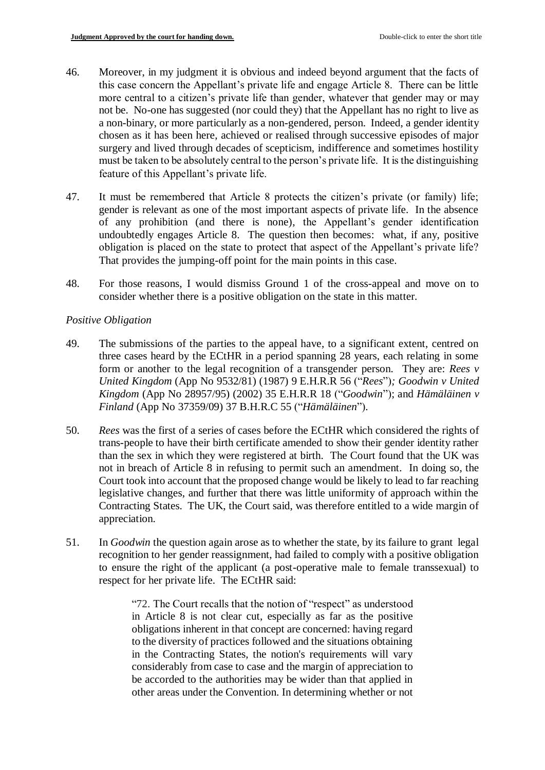- 46. Moreover, in my judgment it is obvious and indeed beyond argument that the facts of this case concern the Appellant's private life and engage Article 8. There can be little more central to a citizen's private life than gender, whatever that gender may or may not be. No-one has suggested (nor could they) that the Appellant has no right to live as a non-binary, or more particularly as a non-gendered, person. Indeed, a gender identity chosen as it has been here, achieved or realised through successive episodes of major surgery and lived through decades of scepticism, indifference and sometimes hostility must be taken to be absolutely central to the person's private life. It is the distinguishing feature of this Appellant's private life.
- 47. It must be remembered that Article 8 protects the citizen's private (or family) life; gender is relevant as one of the most important aspects of private life. In the absence of any prohibition (and there is none), the Appellant's gender identification undoubtedly engages Article 8. The question then becomes: what, if any, positive obligation is placed on the state to protect that aspect of the Appellant's private life? That provides the jumping-off point for the main points in this case.
- 48. For those reasons, I would dismiss Ground 1 of the cross-appeal and move on to consider whether there is a positive obligation on the state in this matter.

# *Positive Obligation*

- 49. The submissions of the parties to the appeal have, to a significant extent, centred on three cases heard by the ECtHR in a period spanning 28 years, each relating in some form or another to the legal recognition of a transgender person. They are: *Rees v United Kingdom* (App No 9532/81) (1987) 9 E.H.R.R 56 ("*Rees*")*; Goodwin v United Kingdom* (App No 28957/95) (2002) 35 E.H.R.R 18 ("*Goodwin*"); and *Hämäläinen v Finland* (App No 37359/09) 37 B.H.R.C 55 ("*Hämäläinen*")*.*
- 50. *Rees* was the first of a series of cases before the ECtHR which considered the rights of trans-people to have their birth certificate amended to show their gender identity rather than the sex in which they were registered at birth. The Court found that the UK was not in breach of Article 8 in refusing to permit such an amendment. In doing so, the Court took into account that the proposed change would be likely to lead to far reaching legislative changes, and further that there was little uniformity of approach within the Contracting States. The UK, the Court said, was therefore entitled to a wide margin of appreciation.
- 51. In *Goodwin* the question again arose as to whether the state, by its failure to grant legal recognition to her gender reassignment, had failed to comply with a positive obligation to ensure the right of the applicant (a post-operative male to female transsexual) to respect for her private life. The ECtHR said:

"72. The Court recalls that the notion of "respect" as understood in Article 8 is not clear cut, especially as far as the positive obligations inherent in that concept are concerned: having regard to the diversity of practices followed and the situations obtaining in the Contracting States, the notion's requirements will vary considerably from case to case and the margin of appreciation to be accorded to the authorities may be wider than that applied in other areas under the Convention. In determining whether or not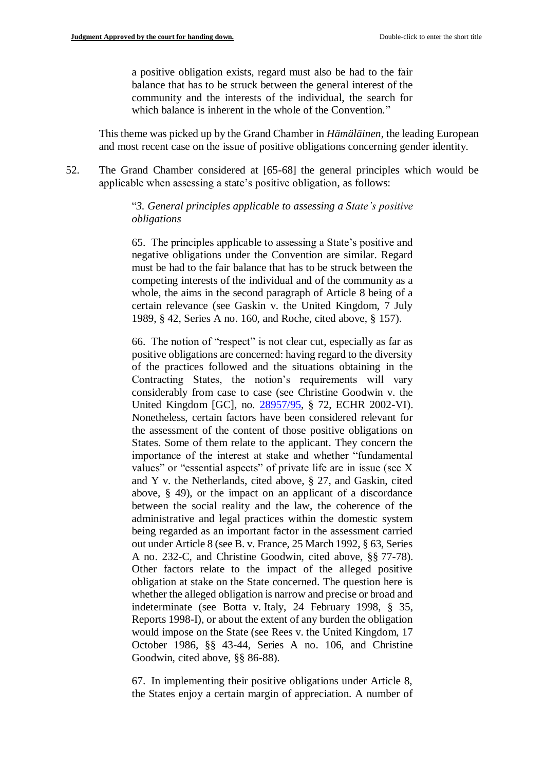a positive obligation exists, regard must also be had to the fair balance that has to be struck between the general interest of the community and the interests of the individual, the search for which balance is inherent in the whole of the Convention."

This theme was picked up by the Grand Chamber in *Hämäläinen*, the leading European and most recent case on the issue of positive obligations concerning gender identity.

52. The Grand Chamber considered at [65-68] the general principles which would be applicable when assessing a state's positive obligation, as follows:

> "*3. General principles applicable to assessing a State's positive obligations*

> 65. The principles applicable to assessing a State's positive and negative obligations under the Convention are similar. Regard must be had to the fair balance that has to be struck between the competing interests of the individual and of the community as a whole, the aims in the second paragraph of Article 8 being of a certain relevance (see Gaskin v. the United Kingdom, 7 July 1989, § 42, Series A no. 160, and Roche, cited above, § 157).

> 66. The notion of "respect" is not clear cut, especially as far as positive obligations are concerned: having regard to the diversity of the practices followed and the situations obtaining in the Contracting States, the notion's requirements will vary considerably from case to case (see Christine Goodwin v. the United Kingdom [GC], no. [28957/95,](https://hudoc.echr.coe.int/eng#%7B%22appno%22:[%2228957/95%22]%7D) § 72, ECHR 2002-VI). Nonetheless, certain factors have been considered relevant for the assessment of the content of those positive obligations on States. Some of them relate to the applicant. They concern the importance of the interest at stake and whether "fundamental values" or "essential aspects" of private life are in issue (see X and Y v. the Netherlands, cited above, § 27, and Gaskin, cited above, § 49), or the impact on an applicant of a discordance between the social reality and the law, the coherence of the administrative and legal practices within the domestic system being regarded as an important factor in the assessment carried out under Article 8 (see B. v. France, 25 March 1992, § 63, Series A no. 232-C, and Christine Goodwin, cited above, §§ 77-78). Other factors relate to the impact of the alleged positive obligation at stake on the State concerned. The question here is whether the alleged obligation is narrow and precise or broad and indeterminate (see Botta v. Italy, 24 February 1998, § 35, Reports 1998-I), or about the extent of any burden the obligation would impose on the State (see Rees v. the United Kingdom, 17 October 1986, §§ 43-44, Series A no. 106, and Christine Goodwin, cited above, §§ 86-88).

> 67. In implementing their positive obligations under Article 8, the States enjoy a certain margin of appreciation. A number of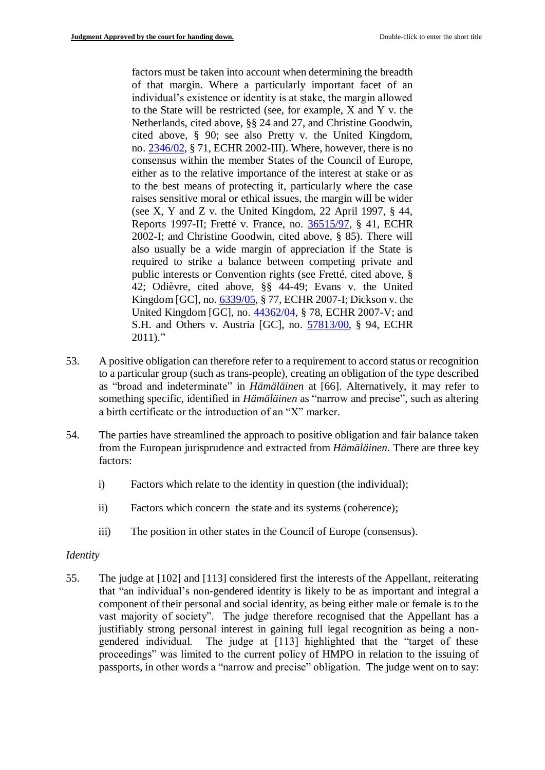factors must be taken into account when determining the breadth of that margin. Where a particularly important facet of an individual's existence or identity is at stake, the margin allowed to the State will be restricted (see, for example, X and Y v. the Netherlands, cited above, §§ 24 and 27, and Christine Goodwin, cited above, § 90; see also Pretty v. the United Kingdom, no. [2346/02,](https://hudoc.echr.coe.int/eng#%7B%22appno%22:[%222346/02%22]%7D) § 71, ECHR 2002-III). Where, however, there is no consensus within the member States of the Council of Europe, either as to the relative importance of the interest at stake or as to the best means of protecting it, particularly where the case raises sensitive moral or ethical issues, the margin will be wider (see X, Y and Z v. the United Kingdom, 22 April 1997, § 44, Reports 1997-II; Fretté v. France, no. [36515/97,](http://hudoc.echr.coe.int/sites/eng/Pages/search.aspx#%7B%22appno%22:%5B%2236515/97%22%5D%7D) § 41, ECHR 2002-I; and Christine Goodwin, cited above, § 85). There will also usually be a wide margin of appreciation if the State is required to strike a balance between competing private and public interests or Convention rights (see Fretté, cited above, § 42; Odièvre, cited above, §§ 44-49; Evans v. the United Kingdom [GC], no[. 6339/05,](https://hudoc.echr.coe.int/eng#%7B%22appno%22:[%226339/05%22]%7D) § 77, ECHR 2007-I; Dickson v. the United Kingdom [GC], no. [44362/04,](https://hudoc.echr.coe.int/eng#%7B%22appno%22:[%2244362/04%22]%7D) § 78, ECHR 2007-V; and S.H. and Others v. Austria [GC], no. [57813/00,](https://hudoc.echr.coe.int/eng#%7B%22appno%22:[%2257813/00%22]%7D) § 94, ECHR  $2011$ ."

- 53. A positive obligation can therefore refer to a requirement to accord status or recognition to a particular group (such as trans-people), creating an obligation of the type described as "broad and indeterminate" in *Hämäläinen* at [66]. Alternatively, it may refer to something specific, identified in *Hämäläinen* as "narrow and precise", such as altering a birth certificate or the introduction of an "X" marker.
- 54. The parties have streamlined the approach to positive obligation and fair balance taken from the European jurisprudence and extracted from *Hämäläinen.* There are three key factors:
	- i) Factors which relate to the identity in question (the individual);
	- ii) Factors which concern the state and its systems (coherence);
	- iii) The position in other states in the Council of Europe (consensus).

## *Identity*

55. The judge at [102] and [113] considered first the interests of the Appellant, reiterating that "an individual's non-gendered identity is likely to be as important and integral a component of their personal and social identity, as being either male or female is to the vast majority of society". The judge therefore recognised that the Appellant has a justifiably strong personal interest in gaining full legal recognition as being a nongendered individual. The judge at [113] highlighted that the "target of these proceedings" was limited to the current policy of HMPO in relation to the issuing of passports, in other words a "narrow and precise" obligation. The judge went on to say: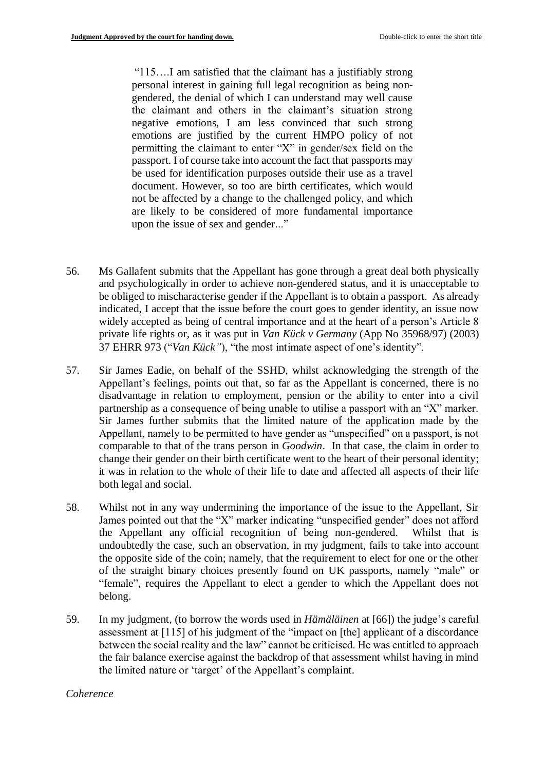"115….I am satisfied that the claimant has a justifiably strong personal interest in gaining full legal recognition as being nongendered, the denial of which I can understand may well cause the claimant and others in the claimant's situation strong negative emotions, I am less convinced that such strong emotions are justified by the current HMPO policy of not permitting the claimant to enter "X" in gender/sex field on the passport. I of course take into account the fact that passports may be used for identification purposes outside their use as a travel document. However, so too are birth certificates, which would not be affected by a change to the challenged policy, and which are likely to be considered of more fundamental importance upon the issue of sex and gender..."

- 56. Ms Gallafent submits that the Appellant has gone through a great deal both physically and psychologically in order to achieve non-gendered status, and it is unacceptable to be obliged to mischaracterise gender if the Appellant is to obtain a passport. As already indicated, I accept that the issue before the court goes to gender identity, an issue now widely accepted as being of central importance and at the heart of a person's Article 8 private life rights or, as it was put in *Van Kück v Germany* (App No 35968/97) (2003) 37 EHRR 973 ("*Van Kück"*), "the most intimate aspect of one's identity".
- 57. Sir James Eadie, on behalf of the SSHD, whilst acknowledging the strength of the Appellant's feelings, points out that, so far as the Appellant is concerned, there is no disadvantage in relation to employment, pension or the ability to enter into a civil partnership as a consequence of being unable to utilise a passport with an "X" marker. Sir James further submits that the limited nature of the application made by the Appellant, namely to be permitted to have gender as "unspecified" on a passport, is not comparable to that of the trans person in *Goodwin*. In that case, the claim in order to change their gender on their birth certificate went to the heart of their personal identity; it was in relation to the whole of their life to date and affected all aspects of their life both legal and social.
- 58. Whilst not in any way undermining the importance of the issue to the Appellant, Sir James pointed out that the "X" marker indicating "unspecified gender" does not afford the Appellant any official recognition of being non-gendered. Whilst that is undoubtedly the case, such an observation, in my judgment, fails to take into account the opposite side of the coin; namely, that the requirement to elect for one or the other of the straight binary choices presently found on UK passports, namely "male" or "female", requires the Appellant to elect a gender to which the Appellant does not belong.
- 59. In my judgment, (to borrow the words used in *Hämäläinen* at [66]) the judge's careful assessment at [115] of his judgment of the "impact on [the] applicant of a discordance between the social reality and the law" cannot be criticised. He was entitled to approach the fair balance exercise against the backdrop of that assessment whilst having in mind the limited nature or 'target' of the Appellant's complaint.

#### *Coherence*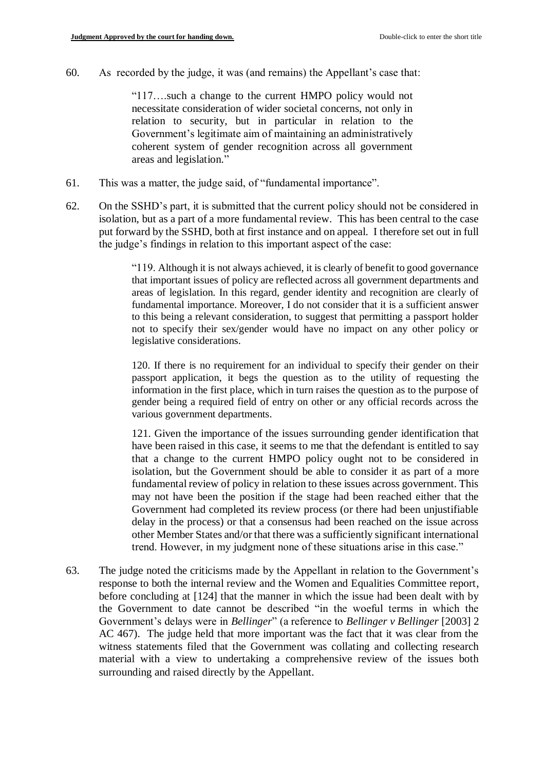60. As recorded by the judge, it was (and remains) the Appellant's case that:

"117….such a change to the current HMPO policy would not necessitate consideration of wider societal concerns, not only in relation to security, but in particular in relation to the Government's legitimate aim of maintaining an administratively coherent system of gender recognition across all government areas and legislation."

- 61. This was a matter, the judge said, of "fundamental importance".
- 62. On the SSHD's part, it is submitted that the current policy should not be considered in isolation, but as a part of a more fundamental review. This has been central to the case put forward by the SSHD, both at first instance and on appeal. I therefore set out in full the judge's findings in relation to this important aspect of the case:

"119. Although it is not always achieved, it is clearly of benefit to good governance that important issues of policy are reflected across all government departments and areas of legislation. In this regard, gender identity and recognition are clearly of fundamental importance. Moreover, I do not consider that it is a sufficient answer to this being a relevant consideration, to suggest that permitting a passport holder not to specify their sex/gender would have no impact on any other policy or legislative considerations.

120. If there is no requirement for an individual to specify their gender on their passport application, it begs the question as to the utility of requesting the information in the first place, which in turn raises the question as to the purpose of gender being a required field of entry on other or any official records across the various government departments.

121. Given the importance of the issues surrounding gender identification that have been raised in this case, it seems to me that the defendant is entitled to say that a change to the current HMPO policy ought not to be considered in isolation, but the Government should be able to consider it as part of a more fundamental review of policy in relation to these issues across government. This may not have been the position if the stage had been reached either that the Government had completed its review process (or there had been unjustifiable delay in the process) or that a consensus had been reached on the issue across other Member States and/or that there was a sufficiently significant international trend. However, in my judgment none of these situations arise in this case."

63. The judge noted the criticisms made by the Appellant in relation to the Government's response to both the internal review and the Women and Equalities Committee report, before concluding at [124] that the manner in which the issue had been dealt with by the Government to date cannot be described "in the woeful terms in which the Government's delays were in *Bellinger*" (a reference to *Bellinger v Bellinger* [2003] 2 AC 467). The judge held that more important was the fact that it was clear from the witness statements filed that the Government was collating and collecting research material with a view to undertaking a comprehensive review of the issues both surrounding and raised directly by the Appellant.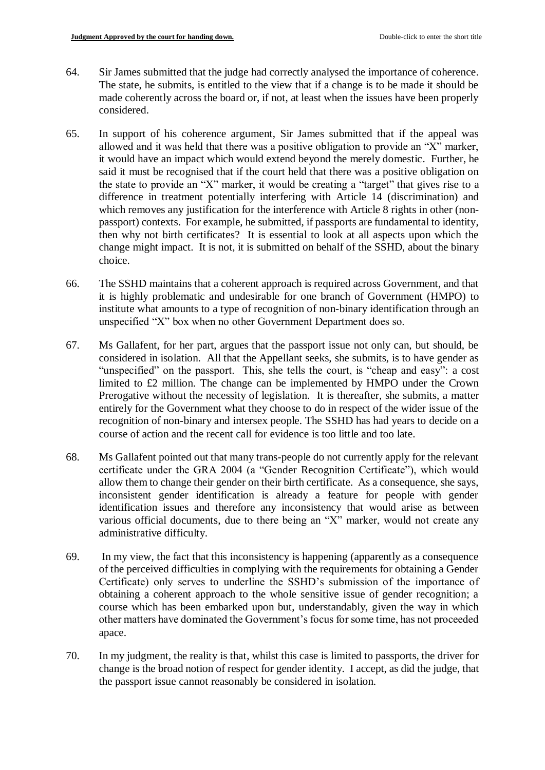- 64. Sir James submitted that the judge had correctly analysed the importance of coherence. The state, he submits, is entitled to the view that if a change is to be made it should be made coherently across the board or, if not, at least when the issues have been properly considered.
- 65. In support of his coherence argument, Sir James submitted that if the appeal was allowed and it was held that there was a positive obligation to provide an "X" marker, it would have an impact which would extend beyond the merely domestic. Further, he said it must be recognised that if the court held that there was a positive obligation on the state to provide an "X" marker, it would be creating a "target" that gives rise to a difference in treatment potentially interfering with Article 14 (discrimination) and which removes any justification for the interference with Article 8 rights in other (nonpassport) contexts. For example, he submitted, if passports are fundamental to identity, then why not birth certificates? It is essential to look at all aspects upon which the change might impact. It is not, it is submitted on behalf of the SSHD, about the binary choice.
- 66. The SSHD maintains that a coherent approach is required across Government, and that it is highly problematic and undesirable for one branch of Government (HMPO) to institute what amounts to a type of recognition of non-binary identification through an unspecified "X" box when no other Government Department does so.
- 67. Ms Gallafent, for her part, argues that the passport issue not only can, but should, be considered in isolation. All that the Appellant seeks, she submits, is to have gender as "unspecified" on the passport. This, she tells the court, is "cheap and easy": a cost limited to £2 million. The change can be implemented by HMPO under the Crown Prerogative without the necessity of legislation. It is thereafter, she submits, a matter entirely for the Government what they choose to do in respect of the wider issue of the recognition of non-binary and intersex people. The SSHD has had years to decide on a course of action and the recent call for evidence is too little and too late.
- 68. Ms Gallafent pointed out that many trans-people do not currently apply for the relevant certificate under the GRA 2004 (a "Gender Recognition Certificate"), which would allow them to change their gender on their birth certificate. As a consequence, she says, inconsistent gender identification is already a feature for people with gender identification issues and therefore any inconsistency that would arise as between various official documents, due to there being an "X" marker, would not create any administrative difficulty.
- 69. In my view, the fact that this inconsistency is happening (apparently as a consequence of the perceived difficulties in complying with the requirements for obtaining a Gender Certificate) only serves to underline the SSHD's submission of the importance of obtaining a coherent approach to the whole sensitive issue of gender recognition; a course which has been embarked upon but, understandably, given the way in which other matters have dominated the Government's focus for some time, has not proceeded apace.
- 70. In my judgment, the reality is that, whilst this case is limited to passports, the driver for change is the broad notion of respect for gender identity. I accept, as did the judge, that the passport issue cannot reasonably be considered in isolation.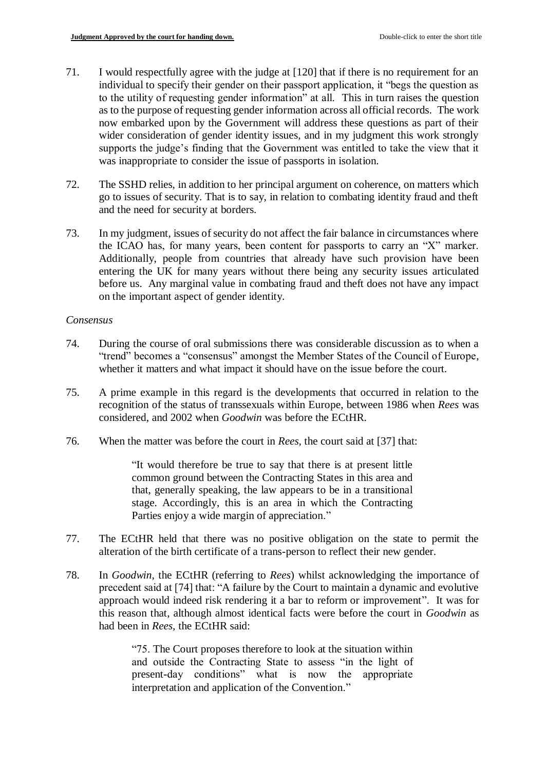- 71. I would respectfully agree with the judge at [120] that if there is no requirement for an individual to specify their gender on their passport application, it "begs the question as to the utility of requesting gender information" at all. This in turn raises the question as to the purpose of requesting gender information across all official records. The work now embarked upon by the Government will address these questions as part of their wider consideration of gender identity issues, and in my judgment this work strongly supports the judge's finding that the Government was entitled to take the view that it was inappropriate to consider the issue of passports in isolation.
- 72. The SSHD relies, in addition to her principal argument on coherence, on matters which go to issues of security. That is to say, in relation to combating identity fraud and theft and the need for security at borders.
- 73. In my judgment, issues of security do not affect the fair balance in circumstances where the ICAO has, for many years, been content for passports to carry an "X" marker. Additionally, people from countries that already have such provision have been entering the UK for many years without there being any security issues articulated before us. Any marginal value in combating fraud and theft does not have any impact on the important aspect of gender identity.

## *Consensus*

- 74. During the course of oral submissions there was considerable discussion as to when a "trend" becomes a "consensus" amongst the Member States of the Council of Europe, whether it matters and what impact it should have on the issue before the court.
- 75. A prime example in this regard is the developments that occurred in relation to the recognition of the status of transsexuals within Europe, between 1986 when *Rees* was considered, and 2002 when *Goodwin* was before the ECtHR.
- 76. When the matter was before the court in *Rees,* the court said at [37] that:

"It would therefore be true to say that there is at present little common ground between the Contracting States in this area and that, generally speaking, the law appears to be in a transitional stage. Accordingly, this is an area in which the Contracting Parties enjoy a wide margin of appreciation."

- 77. The ECtHR held that there was no positive obligation on the state to permit the alteration of the birth certificate of a trans-person to reflect their new gender.
- 78. In *Goodwin,* the ECtHR (referring to *Rees*) whilst acknowledging the importance of precedent said at [74] that: "A failure by the Court to maintain a dynamic and evolutive approach would indeed risk rendering it a bar to reform or improvement". It was for this reason that, although almost identical facts were before the court in *Goodwin* as had been in *Rees,* the ECtHR said:

"75. The Court proposes therefore to look at the situation within and outside the Contracting State to assess "in the light of present-day conditions" what is now the appropriate interpretation and application of the Convention."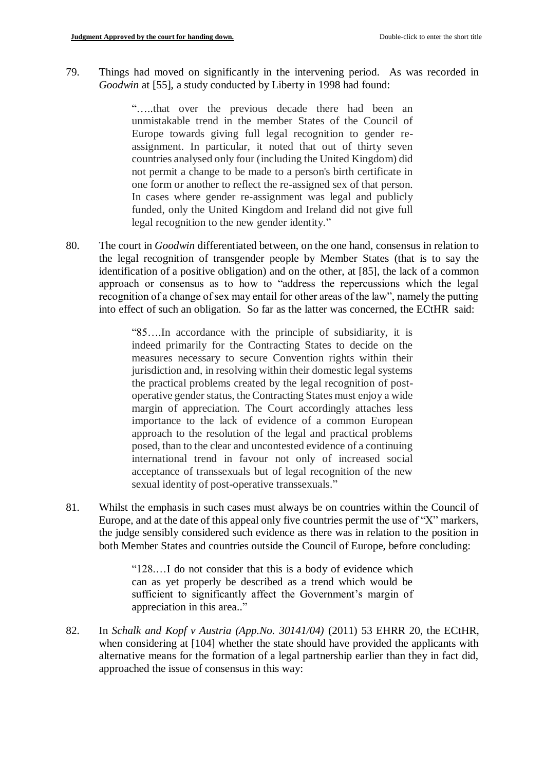79. Things had moved on significantly in the intervening period. As was recorded in *Goodwin* at [55], a study conducted by Liberty in 1998 had found:

> "…..that over the previous decade there had been an unmistakable trend in the member States of the Council of Europe towards giving full legal recognition to gender reassignment. In particular, it noted that out of thirty seven countries analysed only four (including the United Kingdom) did not permit a change to be made to a person's birth certificate in one form or another to reflect the re-assigned sex of that person. In cases where gender re-assignment was legal and publicly funded, only the United Kingdom and Ireland did not give full legal recognition to the new gender identity."

80. The court in *Goodwin* differentiated between, on the one hand, consensus in relation to the legal recognition of transgender people by Member States (that is to say the identification of a positive obligation) and on the other, at [85], the lack of a common approach or consensus as to how to "address the repercussions which the legal recognition of a change of sex may entail for other areas of the law", namely the putting into effect of such an obligation. So far as the latter was concerned, the ECtHR said:

> "85….In accordance with the principle of subsidiarity, it is indeed primarily for the Contracting States to decide on the measures necessary to secure Convention rights within their jurisdiction and, in resolving within their domestic legal systems the practical problems created by the legal recognition of postoperative gender status, the Contracting States must enjoy a wide margin of appreciation. The Court accordingly attaches less importance to the lack of evidence of a common European approach to the resolution of the legal and practical problems posed, than to the clear and uncontested evidence of a continuing international trend in favour not only of increased social acceptance of transsexuals but of legal recognition of the new sexual identity of post-operative transsexuals."

81. Whilst the emphasis in such cases must always be on countries within the Council of Europe, and at the date of this appeal only five countries permit the use of "X" markers, the judge sensibly considered such evidence as there was in relation to the position in both Member States and countries outside the Council of Europe, before concluding:

> "128.…I do not consider that this is a body of evidence which can as yet properly be described as a trend which would be sufficient to significantly affect the Government's margin of appreciation in this area.."

82. In *Schalk and Kopf v Austria (App.No. 30141/04)* (2011) 53 EHRR 20, the ECtHR, when considering at [104] whether the state should have provided the applicants with alternative means for the formation of a legal partnership earlier than they in fact did, approached the issue of consensus in this way: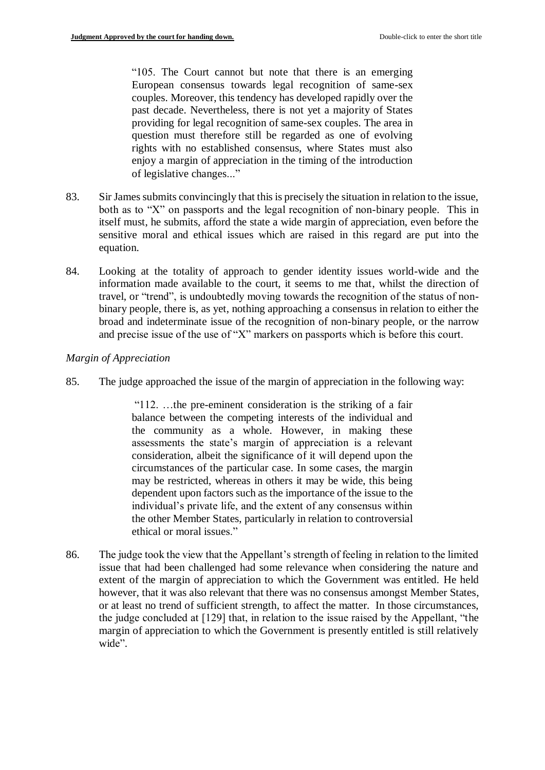"105. The Court cannot but note that there is an emerging European consensus towards legal recognition of same-sex couples. Moreover, this tendency has developed rapidly over the past decade. Nevertheless, there is not yet a majority of States providing for legal recognition of same-sex couples. The area in question must therefore still be regarded as one of evolving rights with no established consensus, where States must also enjoy a margin of appreciation in the timing of the introduction of legislative changes..."

- 83. Sir James submits convincingly that this is precisely the situation in relation to the issue, both as to "X" on passports and the legal recognition of non-binary people. This in itself must, he submits, afford the state a wide margin of appreciation, even before the sensitive moral and ethical issues which are raised in this regard are put into the equation.
- 84. Looking at the totality of approach to gender identity issues world-wide and the information made available to the court, it seems to me that, whilst the direction of travel, or "trend", is undoubtedly moving towards the recognition of the status of nonbinary people, there is, as yet, nothing approaching a consensus in relation to either the broad and indeterminate issue of the recognition of non-binary people, or the narrow and precise issue of the use of "X" markers on passports which is before this court.

## *Margin of Appreciation*

85. The judge approached the issue of the margin of appreciation in the following way:

"112. …the pre-eminent consideration is the striking of a fair balance between the competing interests of the individual and the community as a whole. However, in making these assessments the state's margin of appreciation is a relevant consideration, albeit the significance of it will depend upon the circumstances of the particular case. In some cases, the margin may be restricted, whereas in others it may be wide, this being dependent upon factors such as the importance of the issue to the individual's private life, and the extent of any consensus within the other Member States, particularly in relation to controversial ethical or moral issues."

86. The judge took the view that the Appellant's strength of feeling in relation to the limited issue that had been challenged had some relevance when considering the nature and extent of the margin of appreciation to which the Government was entitled. He held however, that it was also relevant that there was no consensus amongst Member States, or at least no trend of sufficient strength, to affect the matter. In those circumstances, the judge concluded at [129] that, in relation to the issue raised by the Appellant, "the margin of appreciation to which the Government is presently entitled is still relatively wide".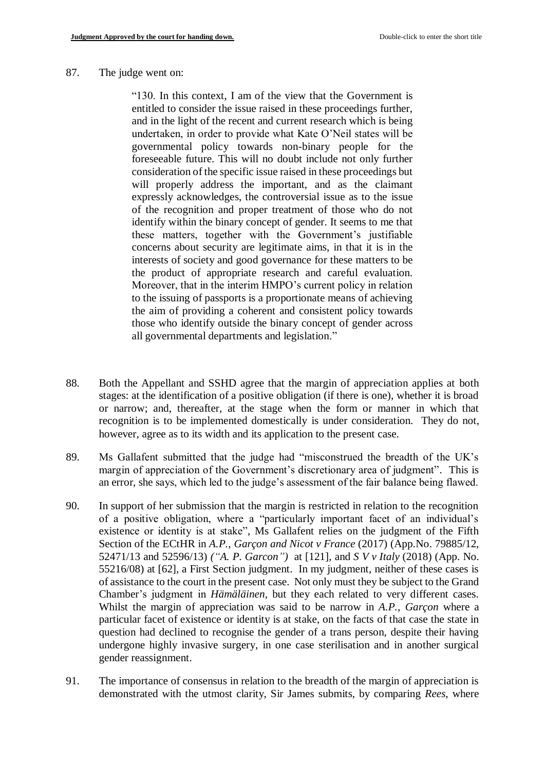#### 87. The judge went on:

"130. In this context, I am of the view that the Government is entitled to consider the issue raised in these proceedings further, and in the light of the recent and current research which is being undertaken, in order to provide what Kate O'Neil states will be governmental policy towards non-binary people for the foreseeable future. This will no doubt include not only further consideration of the specific issue raised in these proceedings but will properly address the important, and as the claimant expressly acknowledges, the controversial issue as to the issue of the recognition and proper treatment of those who do not identify within the binary concept of gender. It seems to me that these matters, together with the Government's justifiable concerns about security are legitimate aims, in that it is in the interests of society and good governance for these matters to be the product of appropriate research and careful evaluation. Moreover, that in the interim HMPO's current policy in relation to the issuing of passports is a proportionate means of achieving the aim of providing a coherent and consistent policy towards those who identify outside the binary concept of gender across all governmental departments and legislation."

- 88. Both the Appellant and SSHD agree that the margin of appreciation applies at both stages: at the identification of a positive obligation (if there is one), whether it is broad or narrow; and, thereafter, at the stage when the form or manner in which that recognition is to be implemented domestically is under consideration. They do not, however, agree as to its width and its application to the present case.
- 89. Ms Gallafent submitted that the judge had "misconstrued the breadth of the UK's margin of appreciation of the Government's discretionary area of judgment". This is an error, she says, which led to the judge's assessment of the fair balance being flawed.
- 90. In support of her submission that the margin is restricted in relation to the recognition of a positive obligation, where a "particularly important facet of an individual's existence or identity is at stake", Ms Gallafent relies on the judgment of the Fifth Section of the ECtHR in *A.P., Garçon and Nicot v France* (2017) (App.No. 79885/12, 52471/13 and 52596/13) *("A. P. Garcon")* at [121], and *S V v Italy* (2018) (App. No. 55216/08) at [62], a First Section judgment. In my judgment, neither of these cases is of assistance to the court in the present case. Not only must they be subject to the Grand Chamber's judgment in *Hämäläinen,* but they each related to very different cases. Whilst the margin of appreciation was said to be narrow in *A.P., Garçon* where a particular facet of existence or identity is at stake, on the facts of that case the state in question had declined to recognise the gender of a trans person, despite their having undergone highly invasive surgery, in one case sterilisation and in another surgical gender reassignment.
- 91. The importance of consensus in relation to the breadth of the margin of appreciation is demonstrated with the utmost clarity, Sir James submits, by comparing *Rees*, where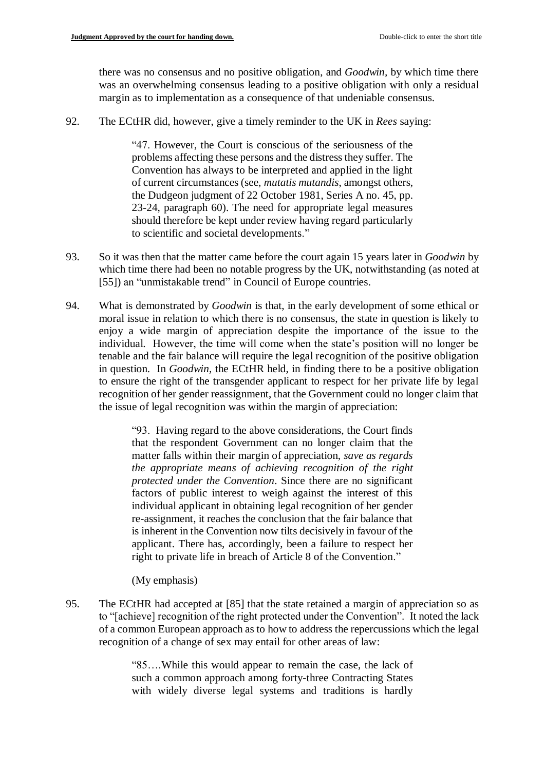there was no consensus and no positive obligation, and *Goodwin,* by which time there was an overwhelming consensus leading to a positive obligation with only a residual margin as to implementation as a consequence of that undeniable consensus.

92. The ECtHR did, however, give a timely reminder to the UK in *Rees* saying:

"47. However, the Court is conscious of the seriousness of the problems affecting these persons and the distress they suffer. The Convention has always to be interpreted and applied in the light of current circumstances (see, *mutatis mutandis*, amongst others, the Dudgeon judgment of 22 October 1981, Series A no. 45, pp. 23-24, paragraph 60). The need for appropriate legal measures should therefore be kept under review having regard particularly to scientific and societal developments."

- 93. So it was then that the matter came before the court again 15 years later in *Goodwin* by which time there had been no notable progress by the UK, notwithstanding (as noted at [55]) an "unmistakable trend" in Council of Europe countries.
- 94. What is demonstrated by *Goodwin* is that, in the early development of some ethical or moral issue in relation to which there is no consensus, the state in question is likely to enjoy a wide margin of appreciation despite the importance of the issue to the individual. However, the time will come when the state's position will no longer be tenable and the fair balance will require the legal recognition of the positive obligation in question. In *Goodwin,* the ECtHR held, in finding there to be a positive obligation to ensure the right of the transgender applicant to respect for her private life by legal recognition of her gender reassignment, that the Government could no longer claim that the issue of legal recognition was within the margin of appreciation:

"93. Having regard to the above considerations, the Court finds that the respondent Government can no longer claim that the matter falls within their margin of appreciation, *save as regards the appropriate means of achieving recognition of the right protected under the Convention*. Since there are no significant factors of public interest to weigh against the interest of this individual applicant in obtaining legal recognition of her gender re-assignment, it reaches the conclusion that the fair balance that is inherent in the Convention now tilts decisively in favour of the applicant. There has, accordingly, been a failure to respect her right to private life in breach of Article 8 of the Convention."

(My emphasis)

95. The ECtHR had accepted at [85] that the state retained a margin of appreciation so as to "[achieve] recognition of the right protected under the Convention". It noted the lack of a common European approach as to how to address the repercussions which the legal recognition of a change of sex may entail for other areas of law:

> "85….While this would appear to remain the case, the lack of such a common approach among forty-three Contracting States with widely diverse legal systems and traditions is hardly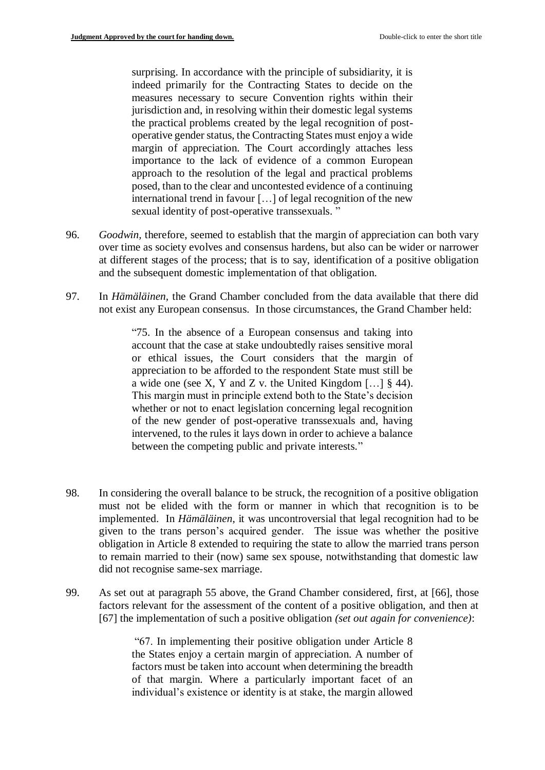surprising. In accordance with the principle of subsidiarity, it is indeed primarily for the Contracting States to decide on the measures necessary to secure Convention rights within their jurisdiction and, in resolving within their domestic legal systems the practical problems created by the legal recognition of postoperative gender status, the Contracting States must enjoy a wide margin of appreciation. The Court accordingly attaches less importance to the lack of evidence of a common European approach to the resolution of the legal and practical problems posed, than to the clear and uncontested evidence of a continuing international trend in favour […] of legal recognition of the new sexual identity of post-operative transsexuals. "

- 96. *Goodwin,* therefore, seemed to establish that the margin of appreciation can both vary over time as society evolves and consensus hardens, but also can be wider or narrower at different stages of the process; that is to say, identification of a positive obligation and the subsequent domestic implementation of that obligation.
- 97. In *Hämäläinen,* the Grand Chamber concluded from the data available that there did not exist any European consensus. In those circumstances, the Grand Chamber held:

"75. In the absence of a European consensus and taking into account that the case at stake undoubtedly raises sensitive moral or ethical issues, the Court considers that the margin of appreciation to be afforded to the respondent State must still be a wide one (see X, Y and Z v. the United Kingdom  $\left[\ldots\right]$  § 44). This margin must in principle extend both to the State's decision whether or not to enact legislation concerning legal recognition of the new gender of post-operative transsexuals and, having intervened, to the rules it lays down in order to achieve a balance between the competing public and private interests."

- 98. In considering the overall balance to be struck, the recognition of a positive obligation must not be elided with the form or manner in which that recognition is to be implemented. In *Hämäläinen*, it was uncontroversial that legal recognition had to be given to the trans person's acquired gender. The issue was whether the positive obligation in Article 8 extended to requiring the state to allow the married trans person to remain married to their (now) same sex spouse, notwithstanding that domestic law did not recognise same-sex marriage.
- 99. As set out at paragraph 55 above, the Grand Chamber considered, first, at [66], those factors relevant for the assessment of the content of a positive obligation, and then at [67] the implementation of such a positive obligation *(set out again for convenience)*:

"67. In implementing their positive obligation under Article 8 the States enjoy a certain margin of appreciation. A number of factors must be taken into account when determining the breadth of that margin. Where a particularly important facet of an individual's existence or identity is at stake, the margin allowed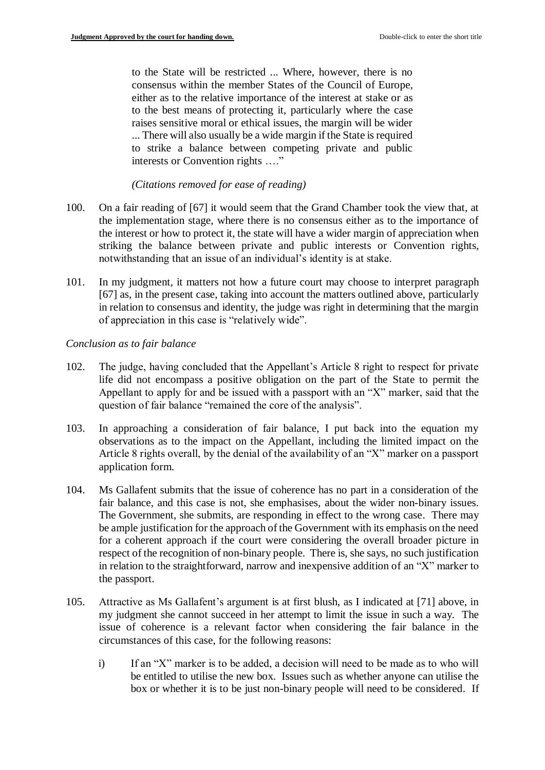to the State will be restricted ... Where, however, there is no consensus within the member States of the Council of Europe, either as to the relative importance of the interest at stake or as to the best means of protecting it, particularly where the case raises sensitive moral or ethical issues, the margin will be wider ... There will also usually be a wide margin if the State is required to strike a balance between competing private and public interests or Convention rights …."

#### *(Citations removed for ease of reading)*

- 100. On a fair reading of [67] it would seem that the Grand Chamber took the view that, at the implementation stage, where there is no consensus either as to the importance of the interest or how to protect it, the state will have a wider margin of appreciation when striking the balance between private and public interests or Convention rights, notwithstanding that an issue of an individual's identity is at stake.
- 101. In my judgment, it matters not how a future court may choose to interpret paragraph [67] as, in the present case, taking into account the matters outlined above, particularly in relation to consensus and identity, the judge was right in determining that the margin of appreciation in this case is "relatively wide".

*Conclusion as to fair balance*

- 102. The judge, having concluded that the Appellant's Article 8 right to respect for private life did not encompass a positive obligation on the part of the State to permit the Appellant to apply for and be issued with a passport with an "X" marker, said that the question of fair balance "remained the core of the analysis".
- 103. In approaching a consideration of fair balance, I put back into the equation my observations as to the impact on the Appellant, including the limited impact on the Article 8 rights overall, by the denial of the availability of an "X" marker on a passport application form.
- 104. Ms Gallafent submits that the issue of coherence has no part in a consideration of the fair balance, and this case is not, she emphasises, about the wider non-binary issues. The Government, she submits, are responding in effect to the wrong case. There may be ample justification for the approach of the Government with its emphasis on the need for a coherent approach if the court were considering the overall broader picture in respect of the recognition of non-binary people. There is, she says, no such justification in relation to the straightforward, narrow and inexpensive addition of an "X" marker to the passport.
- 105. Attractive as Ms Gallafent's argument is at first blush, as I indicated at [71] above, in my judgment she cannot succeed in her attempt to limit the issue in such a way. The issue of coherence is a relevant factor when considering the fair balance in the circumstances of this case, for the following reasons:
	- i) If an "X" marker is to be added, a decision will need to be made as to who will be entitled to utilise the new box. Issues such as whether anyone can utilise the box or whether it is to be just non-binary people will need to be considered. If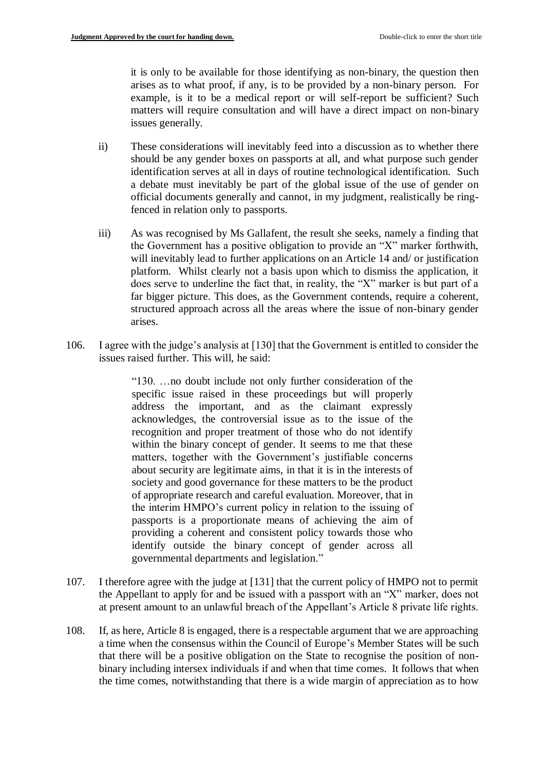it is only to be available for those identifying as non-binary, the question then arises as to what proof, if any, is to be provided by a non-binary person. For example, is it to be a medical report or will self-report be sufficient? Such matters will require consultation and will have a direct impact on non-binary issues generally.

- ii) These considerations will inevitably feed into a discussion as to whether there should be any gender boxes on passports at all, and what purpose such gender identification serves at all in days of routine technological identification. Such a debate must inevitably be part of the global issue of the use of gender on official documents generally and cannot, in my judgment, realistically be ringfenced in relation only to passports.
- iii) As was recognised by Ms Gallafent, the result she seeks, namely a finding that the Government has a positive obligation to provide an "X" marker forthwith, will inevitably lead to further applications on an Article 14 and/ or justification platform. Whilst clearly not a basis upon which to dismiss the application, it does serve to underline the fact that, in reality, the "X" marker is but part of a far bigger picture. This does, as the Government contends, require a coherent, structured approach across all the areas where the issue of non-binary gender arises.
- 106. I agree with the judge's analysis at [130] that the Government is entitled to consider the issues raised further. This will, he said:

"130. …no doubt include not only further consideration of the specific issue raised in these proceedings but will properly address the important, and as the claimant expressly acknowledges, the controversial issue as to the issue of the recognition and proper treatment of those who do not identify within the binary concept of gender. It seems to me that these matters, together with the Government's justifiable concerns about security are legitimate aims, in that it is in the interests of society and good governance for these matters to be the product of appropriate research and careful evaluation. Moreover, that in the interim HMPO's current policy in relation to the issuing of passports is a proportionate means of achieving the aim of providing a coherent and consistent policy towards those who identify outside the binary concept of gender across all governmental departments and legislation."

- 107. I therefore agree with the judge at [131] that the current policy of HMPO not to permit the Appellant to apply for and be issued with a passport with an "X" marker, does not at present amount to an unlawful breach of the Appellant's Article 8 private life rights.
- 108. If, as here, Article 8 is engaged, there is a respectable argument that we are approaching a time when the consensus within the Council of Europe's Member States will be such that there will be a positive obligation on the State to recognise the position of nonbinary including intersex individuals if and when that time comes. It follows that when the time comes, notwithstanding that there is a wide margin of appreciation as to how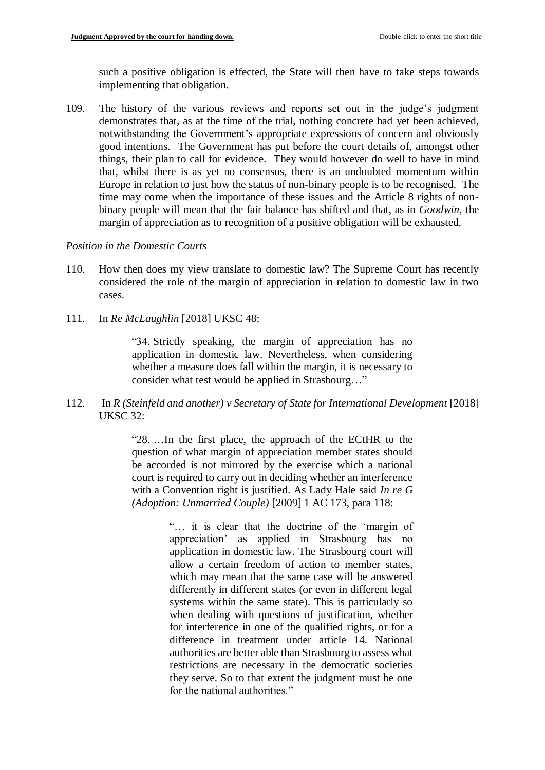such a positive obligation is effected, the State will then have to take steps towards implementing that obligation.

109. The history of the various reviews and reports set out in the judge's judgment demonstrates that, as at the time of the trial, nothing concrete had yet been achieved, notwithstanding the Government's appropriate expressions of concern and obviously good intentions. The Government has put before the court details of, amongst other things, their plan to call for evidence. They would however do well to have in mind that, whilst there is as yet no consensus, there is an undoubted momentum within Europe in relation to just how the status of non-binary people is to be recognised. The time may come when the importance of these issues and the Article 8 rights of nonbinary people will mean that the fair balance has shifted and that, as in *Goodwin,* the margin of appreciation as to recognition of a positive obligation will be exhausted.

#### *Position in the Domestic Courts*

- 110. How then does my view translate to domestic law? The Supreme Court has recently considered the role of the margin of appreciation in relation to domestic law in two cases.
- 111. In *Re McLaughlin* [2018] UKSC 48:

"34. Strictly speaking, the margin of appreciation has no application in domestic law. Nevertheless, when considering whether a measure does fall within the margin, it is necessary to consider what test would be applied in Strasbourg…"

112. In *R (Steinfeld and another) v Secretary of State for International Development* [2018] UKSC 32:

> "28. …In the first place, the approach of the ECtHR to the question of what margin of appreciation member states should be accorded is not mirrored by the exercise which a national court is required to carry out in deciding whether an interference with a Convention right is justified. As Lady Hale said *In re G (Adoption: Unmarried Couple)* [2009] 1 AC 173, para 118:

> > "… it is clear that the doctrine of the 'margin of appreciation' as applied in Strasbourg has no application in domestic law. The Strasbourg court will allow a certain freedom of action to member states, which may mean that the same case will be answered differently in different states (or even in different legal systems within the same state). This is particularly so when dealing with questions of justification, whether for interference in one of the qualified rights, or for a difference in treatment under article 14. National authorities are better able than Strasbourg to assess what restrictions are necessary in the democratic societies they serve. So to that extent the judgment must be one for the national authorities."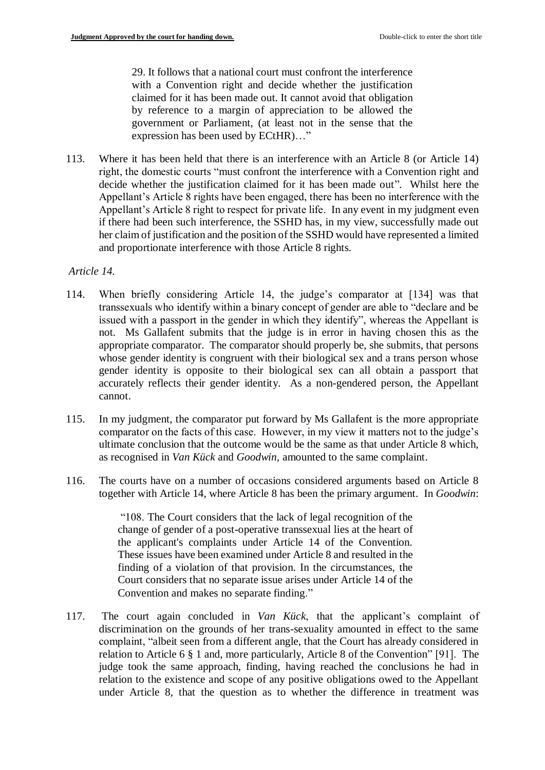29. It follows that a national court must confront the interference with a Convention right and decide whether the justification claimed for it has been made out. It cannot avoid that obligation by reference to a margin of appreciation to be allowed the government or Parliament, (at least not in the sense that the expression has been used by ECtHR)…"

113. Where it has been held that there is an interference with an Article 8 (or Article 14) right, the domestic courts "must confront the interference with a Convention right and decide whether the justification claimed for it has been made out". Whilst here the Appellant's Article 8 rights have been engaged, there has been no interference with the Appellant's Article 8 right to respect for private life. In any event in my judgment even if there had been such interference, the SSHD has, in my view, successfully made out her claim of justification and the position of the SSHD would have represented a limited and proportionate interference with those Article 8 rights.

# *Article 14.*

- 114. When briefly considering Article 14, the judge's comparator at [134] was that transsexuals who identify within a binary concept of gender are able to "declare and be issued with a passport in the gender in which they identify", whereas the Appellant is not. Ms Gallafent submits that the judge is in error in having chosen this as the appropriate comparator. The comparator should properly be, she submits, that persons whose gender identity is congruent with their biological sex and a trans person whose gender identity is opposite to their biological sex can all obtain a passport that accurately reflects their gender identity. As a non-gendered person, the Appellant cannot.
- 115. In my judgment, the comparator put forward by Ms Gallafent is the more appropriate comparator on the facts of this case. However, in my view it matters not to the judge's ultimate conclusion that the outcome would be the same as that under Article 8 which, as recognised in *Van Kück* and *Goodwin,* amounted to the same complaint.
- 116. The courts have on a number of occasions considered arguments based on Article 8 together with Article 14, where Article 8 has been the primary argument. In *Goodwin*:

"108. The Court considers that the lack of legal recognition of the change of gender of a post-operative transsexual lies at the heart of the applicant's complaints under Article 14 of the Convention. These issues have been examined under Article 8 and resulted in the finding of a violation of that provision. In the circumstances, the Court considers that no separate issue arises under Article 14 of the Convention and makes no separate finding."

117. The court again concluded in *Van Kück*, that the applicant's complaint of discrimination on the grounds of her trans-sexuality amounted in effect to the same complaint, "albeit seen from a different angle, that the Court has already considered in relation to Article 6 § 1 and, more particularly, Article 8 of the Convention" [91]. The judge took the same approach, finding, having reached the conclusions he had in relation to the existence and scope of any positive obligations owed to the Appellant under Article 8, that the question as to whether the difference in treatment was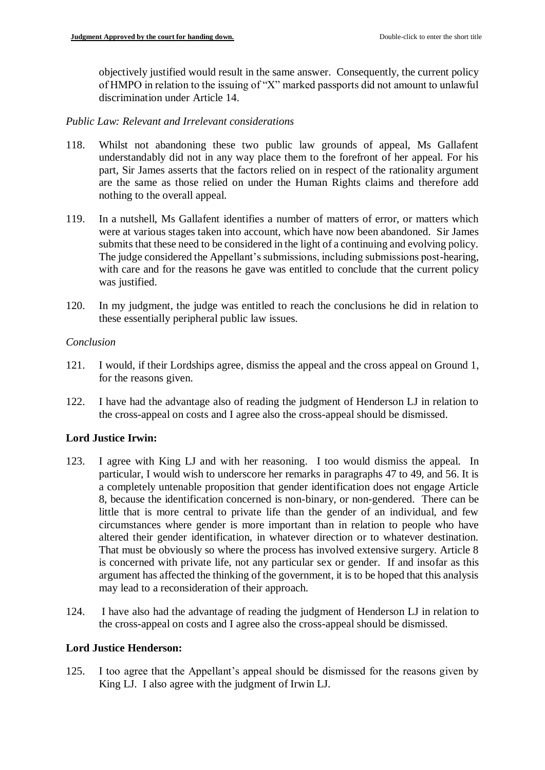objectively justified would result in the same answer. Consequently, the current policy of HMPO in relation to the issuing of "X" marked passports did not amount to unlawful discrimination under Article 14.

# *Public Law: Relevant and Irrelevant considerations*

- 118. Whilst not abandoning these two public law grounds of appeal, Ms Gallafent understandably did not in any way place them to the forefront of her appeal. For his part, Sir James asserts that the factors relied on in respect of the rationality argument are the same as those relied on under the Human Rights claims and therefore add nothing to the overall appeal.
- 119. In a nutshell, Ms Gallafent identifies a number of matters of error, or matters which were at various stages taken into account, which have now been abandoned. Sir James submits that these need to be considered in the light of a continuing and evolving policy. The judge considered the Appellant's submissions, including submissions post-hearing, with care and for the reasons he gave was entitled to conclude that the current policy was justified.
- 120. In my judgment, the judge was entitled to reach the conclusions he did in relation to these essentially peripheral public law issues.

# *Conclusion*

- 121. I would, if their Lordships agree, dismiss the appeal and the cross appeal on Ground 1, for the reasons given.
- 122. I have had the advantage also of reading the judgment of Henderson LJ in relation to the cross-appeal on costs and I agree also the cross-appeal should be dismissed.

# **Lord Justice Irwin:**

- 123. I agree with King LJ and with her reasoning. I too would dismiss the appeal. In particular, I would wish to underscore her remarks in paragraphs 47 to 49, and 56. It is a completely untenable proposition that gender identification does not engage Article 8, because the identification concerned is non-binary, or non-gendered. There can be little that is more central to private life than the gender of an individual, and few circumstances where gender is more important than in relation to people who have altered their gender identification, in whatever direction or to whatever destination. That must be obviously so where the process has involved extensive surgery. Article 8 is concerned with private life, not any particular sex or gender. If and insofar as this argument has affected the thinking of the government, it is to be hoped that this analysis may lead to a reconsideration of their approach.
- 124. I have also had the advantage of reading the judgment of Henderson LJ in relation to the cross-appeal on costs and I agree also the cross-appeal should be dismissed.

# **Lord Justice Henderson:**

125. I too agree that the Appellant's appeal should be dismissed for the reasons given by King LJ. I also agree with the judgment of Irwin LJ.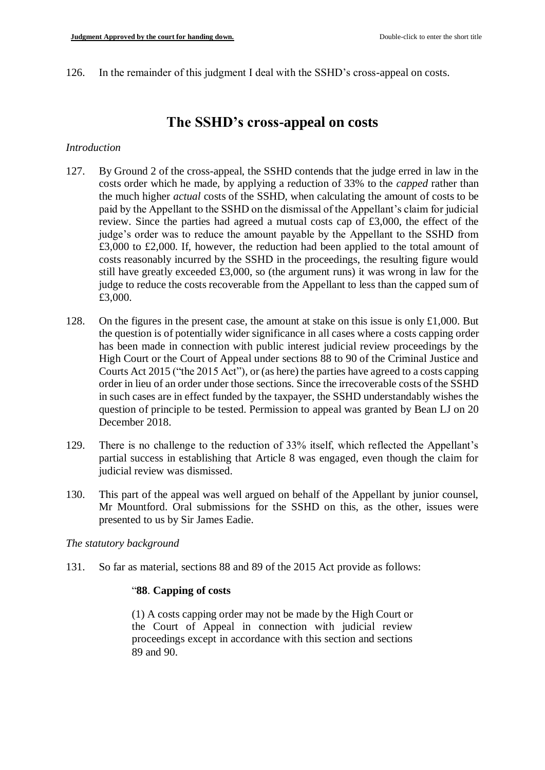126. In the remainder of this judgment I deal with the SSHD's cross-appeal on costs.

# **The SSHD's cross-appeal on costs**

## *Introduction*

- 127. By Ground 2 of the cross-appeal, the SSHD contends that the judge erred in law in the costs order which he made, by applying a reduction of 33% to the *capped* rather than the much higher *actual* costs of the SSHD, when calculating the amount of costs to be paid by the Appellant to the SSHD on the dismissal of the Appellant's claim for judicial review. Since the parties had agreed a mutual costs cap of £3,000, the effect of the judge's order was to reduce the amount payable by the Appellant to the SSHD from £3,000 to £2,000. If, however, the reduction had been applied to the total amount of costs reasonably incurred by the SSHD in the proceedings, the resulting figure would still have greatly exceeded £3,000, so (the argument runs) it was wrong in law for the judge to reduce the costs recoverable from the Appellant to less than the capped sum of £3,000.
- 128. On the figures in the present case, the amount at stake on this issue is only £1,000. But the question is of potentially wider significance in all cases where a costs capping order has been made in connection with public interest judicial review proceedings by the High Court or the Court of Appeal under sections 88 to 90 of the Criminal Justice and Courts Act 2015 ("the 2015 Act"), or (as here) the parties have agreed to a costs capping order in lieu of an order under those sections. Since the irrecoverable costs of the SSHD in such cases are in effect funded by the taxpayer, the SSHD understandably wishes the question of principle to be tested. Permission to appeal was granted by Bean LJ on 20 December 2018.
- 129. There is no challenge to the reduction of 33% itself, which reflected the Appellant's partial success in establishing that Article 8 was engaged, even though the claim for judicial review was dismissed.
- 130. This part of the appeal was well argued on behalf of the Appellant by junior counsel, Mr Mountford. Oral submissions for the SSHD on this, as the other, issues were presented to us by Sir James Eadie.

## *The statutory background*

131. So far as material, sections 88 and 89 of the 2015 Act provide as follows:

## "**88**. **Capping of costs**

(1) A costs capping order may not be made by the High Court or the Court of Appeal in connection with judicial review proceedings except in accordance with this section and sections 89 and 90.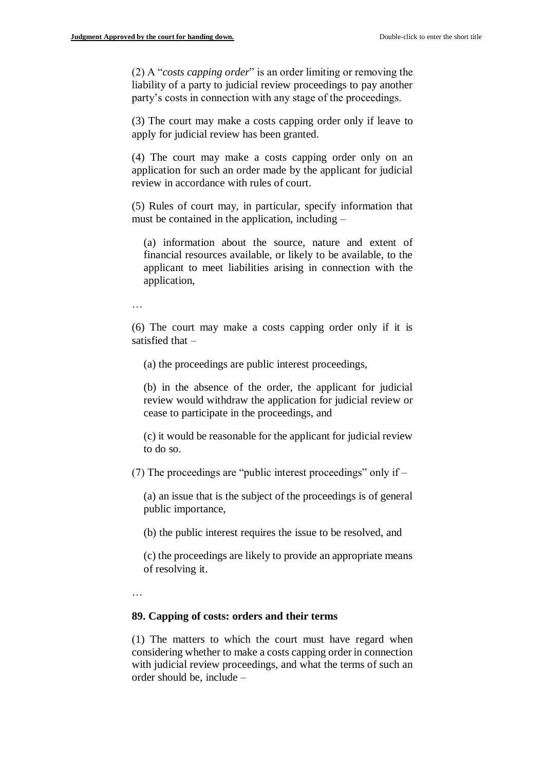(2) A "*costs capping order*" is an order limiting or removing the liability of a party to judicial review proceedings to pay another party's costs in connection with any stage of the proceedings.

(3) The court may make a costs capping order only if leave to apply for judicial review has been granted.

(4) The court may make a costs capping order only on an application for such an order made by the applicant for judicial review in accordance with rules of court.

(5) Rules of court may, in particular, specify information that must be contained in the application, including –

(a) information about the source, nature and extent of financial resources available, or likely to be available, to the applicant to meet liabilities arising in connection with the application,

…

(6) The court may make a costs capping order only if it is satisfied that –

(a) the proceedings are public interest proceedings,

(b) in the absence of the order, the applicant for judicial review would withdraw the application for judicial review or cease to participate in the proceedings, and

(c) it would be reasonable for the applicant for judicial review to do so.

(7) The proceedings are "public interest proceedings" only if –

(a) an issue that is the subject of the proceedings is of general public importance,

(b) the public interest requires the issue to be resolved, and

(c) the proceedings are likely to provide an appropriate means of resolving it.

…

#### **89. Capping of costs: orders and their terms**

(1) The matters to which the court must have regard when considering whether to make a costs capping order in connection with judicial review proceedings, and what the terms of such an order should be, include –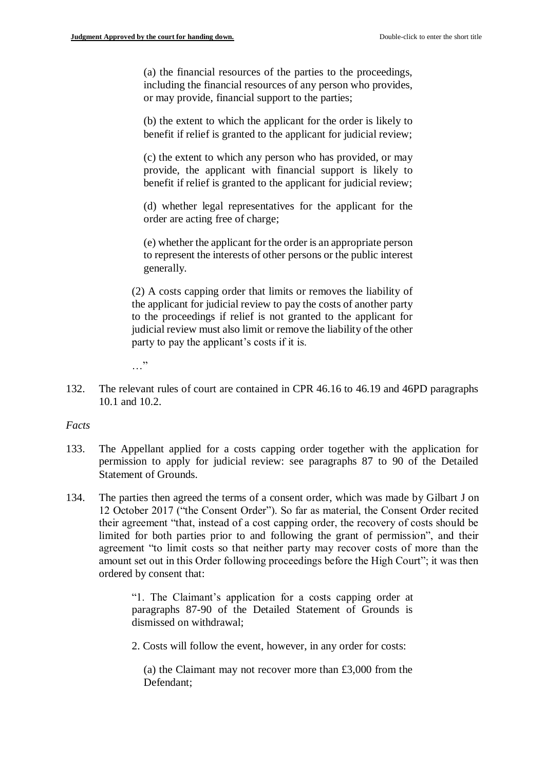(a) the financial resources of the parties to the proceedings, including the financial resources of any person who provides, or may provide, financial support to the parties;

(b) the extent to which the applicant for the order is likely to benefit if relief is granted to the applicant for judicial review;

(c) the extent to which any person who has provided, or may provide, the applicant with financial support is likely to benefit if relief is granted to the applicant for judicial review;

(d) whether legal representatives for the applicant for the order are acting free of charge;

(e) whether the applicant for the order is an appropriate person to represent the interests of other persons or the public interest generally.

(2) A costs capping order that limits or removes the liability of the applicant for judicial review to pay the costs of another party to the proceedings if relief is not granted to the applicant for judicial review must also limit or remove the liability of the other party to pay the applicant's costs if it is.

…"

132. The relevant rules of court are contained in CPR 46.16 to 46.19 and 46PD paragraphs 10.1 and 10.2.

## *Facts*

- 133. The Appellant applied for a costs capping order together with the application for permission to apply for judicial review: see paragraphs 87 to 90 of the Detailed Statement of Grounds.
- 134. The parties then agreed the terms of a consent order, which was made by Gilbart J on 12 October 2017 ("the Consent Order"). So far as material, the Consent Order recited their agreement "that, instead of a cost capping order, the recovery of costs should be limited for both parties prior to and following the grant of permission", and their agreement "to limit costs so that neither party may recover costs of more than the amount set out in this Order following proceedings before the High Court"; it was then ordered by consent that:

"1. The Claimant's application for a costs capping order at paragraphs 87-90 of the Detailed Statement of Grounds is dismissed on withdrawal;

2. Costs will follow the event, however, in any order for costs:

(a) the Claimant may not recover more than £3,000 from the Defendant;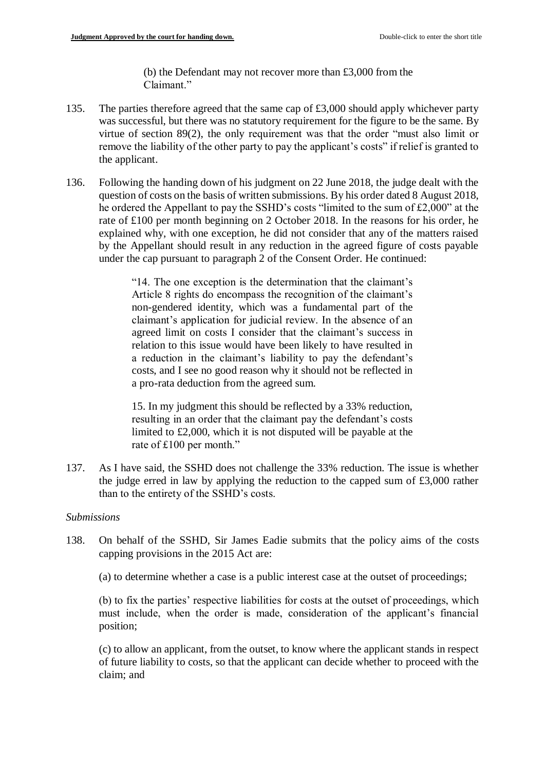(b) the Defendant may not recover more than £3,000 from the Claimant."

- 135. The parties therefore agreed that the same cap of £3,000 should apply whichever party was successful, but there was no statutory requirement for the figure to be the same. By virtue of section 89(2), the only requirement was that the order "must also limit or remove the liability of the other party to pay the applicant's costs" if relief is granted to the applicant.
- 136. Following the handing down of his judgment on 22 June 2018, the judge dealt with the question of costs on the basis of written submissions. By his order dated 8 August 2018, he ordered the Appellant to pay the SSHD's costs "limited to the sum of £2,000" at the rate of £100 per month beginning on 2 October 2018. In the reasons for his order, he explained why, with one exception, he did not consider that any of the matters raised by the Appellant should result in any reduction in the agreed figure of costs payable under the cap pursuant to paragraph 2 of the Consent Order. He continued:

"14. The one exception is the determination that the claimant's Article 8 rights do encompass the recognition of the claimant's non-gendered identity, which was a fundamental part of the claimant's application for judicial review. In the absence of an agreed limit on costs I consider that the claimant's success in relation to this issue would have been likely to have resulted in a reduction in the claimant's liability to pay the defendant's costs, and I see no good reason why it should not be reflected in a pro-rata deduction from the agreed sum.

15. In my judgment this should be reflected by a 33% reduction, resulting in an order that the claimant pay the defendant's costs limited to £2,000, which it is not disputed will be payable at the rate of £100 per month."

137. As I have said, the SSHD does not challenge the 33% reduction. The issue is whether the judge erred in law by applying the reduction to the capped sum of £3,000 rather than to the entirety of the SSHD's costs.

#### *Submissions*

- 138. On behalf of the SSHD, Sir James Eadie submits that the policy aims of the costs capping provisions in the 2015 Act are:
	- (a) to determine whether a case is a public interest case at the outset of proceedings;

(b) to fix the parties' respective liabilities for costs at the outset of proceedings, which must include, when the order is made, consideration of the applicant's financial position;

(c) to allow an applicant, from the outset, to know where the applicant stands in respect of future liability to costs, so that the applicant can decide whether to proceed with the claim; and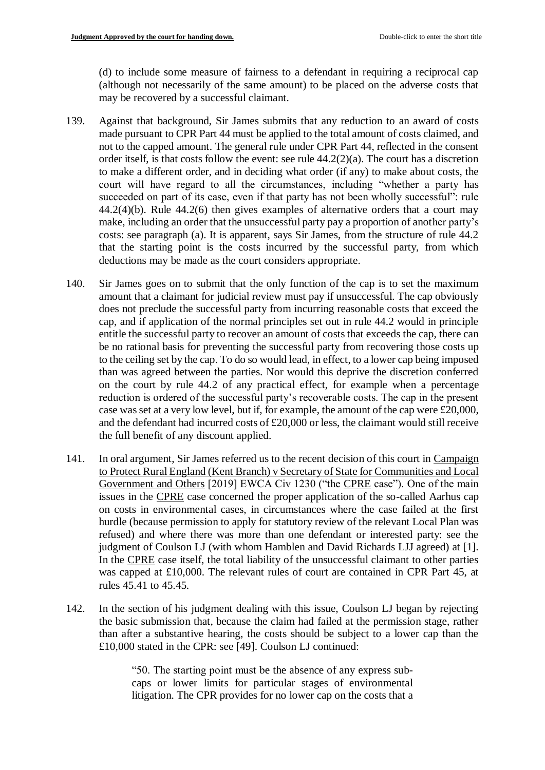(d) to include some measure of fairness to a defendant in requiring a reciprocal cap (although not necessarily of the same amount) to be placed on the adverse costs that may be recovered by a successful claimant.

- 139. Against that background, Sir James submits that any reduction to an award of costs made pursuant to CPR Part 44 must be applied to the total amount of costs claimed, and not to the capped amount. The general rule under CPR Part 44, reflected in the consent order itself, is that costs follow the event: see rule 44.2(2)(a). The court has a discretion to make a different order, and in deciding what order (if any) to make about costs, the court will have regard to all the circumstances, including "whether a party has succeeded on part of its case, even if that party has not been wholly successful": rule 44.2(4)(b). Rule 44.2(6) then gives examples of alternative orders that a court may make, including an order that the unsuccessful party pay a proportion of another party's costs: see paragraph (a). It is apparent, says Sir James, from the structure of rule 44.2 that the starting point is the costs incurred by the successful party, from which deductions may be made as the court considers appropriate.
- 140. Sir James goes on to submit that the only function of the cap is to set the maximum amount that a claimant for judicial review must pay if unsuccessful. The cap obviously does not preclude the successful party from incurring reasonable costs that exceed the cap, and if application of the normal principles set out in rule 44.2 would in principle entitle the successful party to recover an amount of costs that exceeds the cap, there can be no rational basis for preventing the successful party from recovering those costs up to the ceiling set by the cap. To do so would lead, in effect, to a lower cap being imposed than was agreed between the parties. Nor would this deprive the discretion conferred on the court by rule 44.2 of any practical effect, for example when a percentage reduction is ordered of the successful party's recoverable costs. The cap in the present case was set at a very low level, but if, for example, the amount of the cap were £20,000, and the defendant had incurred costs of £20,000 or less, the claimant would still receive the full benefit of any discount applied.
- 141. In oral argument, Sir James referred us to the recent decision of this court in Campaign to Protect Rural England (Kent Branch) v Secretary of State for Communities and Local Government and Others [2019] EWCA Civ 1230 ("the CPRE case"). One of the main issues in the CPRE case concerned the proper application of the so-called Aarhus cap on costs in environmental cases, in circumstances where the case failed at the first hurdle (because permission to apply for statutory review of the relevant Local Plan was refused) and where there was more than one defendant or interested party: see the judgment of Coulson LJ (with whom Hamblen and David Richards LJJ agreed) at [1]. In the CPRE case itself, the total liability of the unsuccessful claimant to other parties was capped at £10,000. The relevant rules of court are contained in CPR Part 45, at rules 45.41 to 45.45.
- 142. In the section of his judgment dealing with this issue, Coulson LJ began by rejecting the basic submission that, because the claim had failed at the permission stage, rather than after a substantive hearing, the costs should be subject to a lower cap than the £10,000 stated in the CPR: see [49]. Coulson LJ continued:

"50. The starting point must be the absence of any express subcaps or lower limits for particular stages of environmental litigation. The CPR provides for no lower cap on the costs that a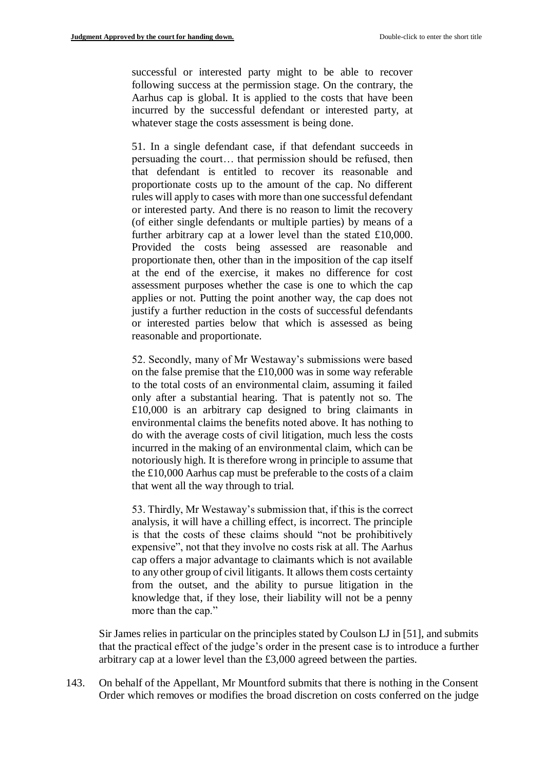successful or interested party might to be able to recover following success at the permission stage. On the contrary, the Aarhus cap is global. It is applied to the costs that have been incurred by the successful defendant or interested party, at whatever stage the costs assessment is being done.

51. In a single defendant case, if that defendant succeeds in persuading the court… that permission should be refused, then that defendant is entitled to recover its reasonable and proportionate costs up to the amount of the cap. No different rules will apply to cases with more than one successful defendant or interested party. And there is no reason to limit the recovery (of either single defendants or multiple parties) by means of a further arbitrary cap at a lower level than the stated £10,000. Provided the costs being assessed are reasonable and proportionate then, other than in the imposition of the cap itself at the end of the exercise, it makes no difference for cost assessment purposes whether the case is one to which the cap applies or not. Putting the point another way, the cap does not justify a further reduction in the costs of successful defendants or interested parties below that which is assessed as being reasonable and proportionate.

52. Secondly, many of Mr Westaway's submissions were based on the false premise that the £10,000 was in some way referable to the total costs of an environmental claim, assuming it failed only after a substantial hearing. That is patently not so. The £10,000 is an arbitrary cap designed to bring claimants in environmental claims the benefits noted above. It has nothing to do with the average costs of civil litigation, much less the costs incurred in the making of an environmental claim, which can be notoriously high. It is therefore wrong in principle to assume that the £10,000 Aarhus cap must be preferable to the costs of a claim that went all the way through to trial.

53. Thirdly, Mr Westaway's submission that, if this is the correct analysis, it will have a chilling effect, is incorrect. The principle is that the costs of these claims should "not be prohibitively expensive", not that they involve no costs risk at all. The Aarhus cap offers a major advantage to claimants which is not available to any other group of civil litigants. It allows them costs certainty from the outset, and the ability to pursue litigation in the knowledge that, if they lose, their liability will not be a penny more than the cap."

Sir James relies in particular on the principles stated by Coulson LJ in [51], and submits that the practical effect of the judge's order in the present case is to introduce a further arbitrary cap at a lower level than the £3,000 agreed between the parties.

143. On behalf of the Appellant, Mr Mountford submits that there is nothing in the Consent Order which removes or modifies the broad discretion on costs conferred on the judge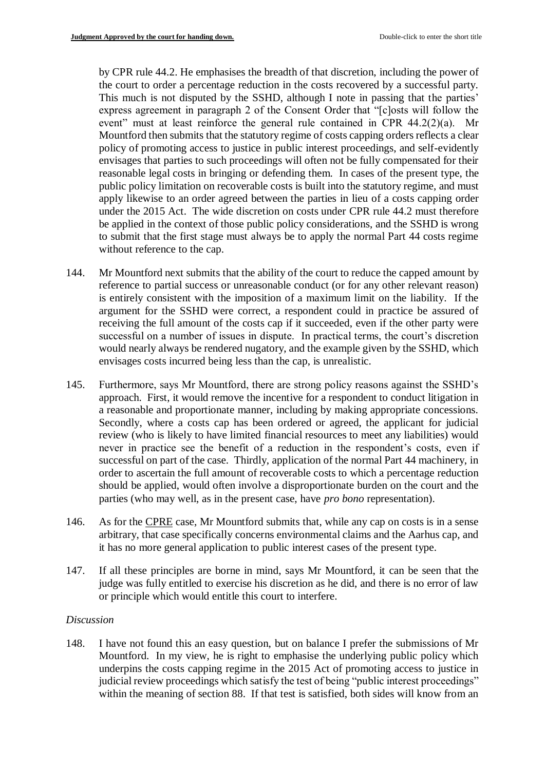by CPR rule 44.2. He emphasises the breadth of that discretion, including the power of the court to order a percentage reduction in the costs recovered by a successful party. This much is not disputed by the SSHD, although I note in passing that the parties' express agreement in paragraph 2 of the Consent Order that "[c]osts will follow the event" must at least reinforce the general rule contained in CPR  $44.2(2)(a)$ . Mr Mountford then submits that the statutory regime of costs capping orders reflects a clear policy of promoting access to justice in public interest proceedings, and self-evidently envisages that parties to such proceedings will often not be fully compensated for their reasonable legal costs in bringing or defending them. In cases of the present type, the public policy limitation on recoverable costs is built into the statutory regime, and must apply likewise to an order agreed between the parties in lieu of a costs capping order under the 2015 Act. The wide discretion on costs under CPR rule 44.2 must therefore be applied in the context of those public policy considerations, and the SSHD is wrong to submit that the first stage must always be to apply the normal Part 44 costs regime without reference to the cap.

- 144. Mr Mountford next submits that the ability of the court to reduce the capped amount by reference to partial success or unreasonable conduct (or for any other relevant reason) is entirely consistent with the imposition of a maximum limit on the liability. If the argument for the SSHD were correct, a respondent could in practice be assured of receiving the full amount of the costs cap if it succeeded, even if the other party were successful on a number of issues in dispute. In practical terms, the court's discretion would nearly always be rendered nugatory, and the example given by the SSHD, which envisages costs incurred being less than the cap, is unrealistic.
- 145. Furthermore, says Mr Mountford, there are strong policy reasons against the SSHD's approach. First, it would remove the incentive for a respondent to conduct litigation in a reasonable and proportionate manner, including by making appropriate concessions. Secondly, where a costs cap has been ordered or agreed, the applicant for judicial review (who is likely to have limited financial resources to meet any liabilities) would never in practice see the benefit of a reduction in the respondent's costs, even if successful on part of the case. Thirdly, application of the normal Part 44 machinery, in order to ascertain the full amount of recoverable costs to which a percentage reduction should be applied, would often involve a disproportionate burden on the court and the parties (who may well, as in the present case, have *pro bono* representation).
- 146. As for the CPRE case, Mr Mountford submits that, while any cap on costs is in a sense arbitrary, that case specifically concerns environmental claims and the Aarhus cap, and it has no more general application to public interest cases of the present type.
- 147. If all these principles are borne in mind, says Mr Mountford, it can be seen that the judge was fully entitled to exercise his discretion as he did, and there is no error of law or principle which would entitle this court to interfere.

# *Discussion*

148. I have not found this an easy question, but on balance I prefer the submissions of Mr Mountford. In my view, he is right to emphasise the underlying public policy which underpins the costs capping regime in the 2015 Act of promoting access to justice in judicial review proceedings which satisfy the test of being "public interest proceedings" within the meaning of section 88. If that test is satisfied, both sides will know from an